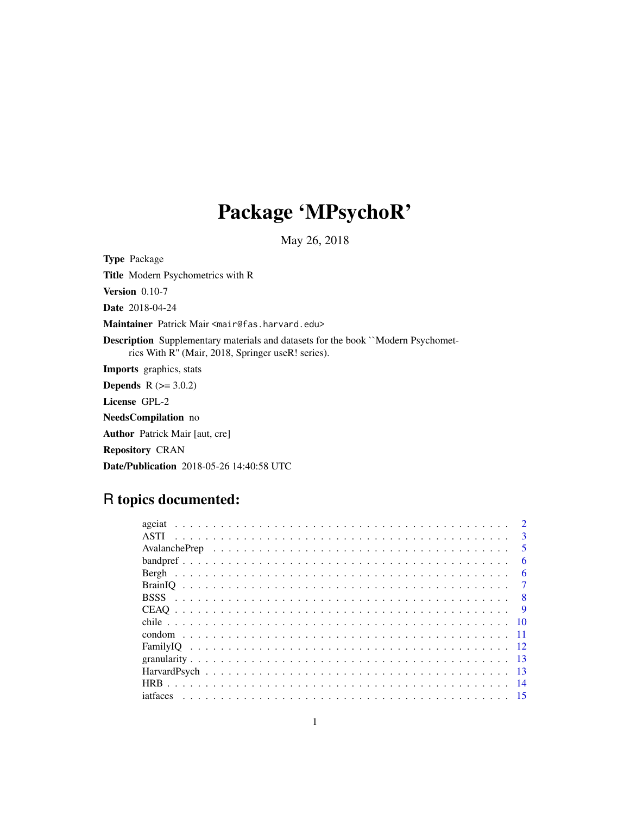# Package 'MPsychoR'

May 26, 2018

Type Package Title Modern Psychometrics with R Version 0.10-7 Date 2018-04-24 Maintainer Patrick Mair <mair@fas.harvard.edu> Description Supplementary materials and datasets for the book ``Modern Psychometrics With R'' (Mair, 2018, Springer useR! series). Imports graphics, stats **Depends**  $R (= 3.0.2)$ License GPL-2 NeedsCompilation no Author Patrick Mair [aut, cre] Repository CRAN

# Date/Publication 2018-05-26 14:40:58 UTC

# R topics documented:

| $\mathbf{R}$            |
|-------------------------|
| $\overline{\mathbf{5}}$ |
| 6                       |
| 6                       |
|                         |
| - 8                     |
| -9                      |
| - 10                    |
|                         |
|                         |
|                         |
|                         |
|                         |
|                         |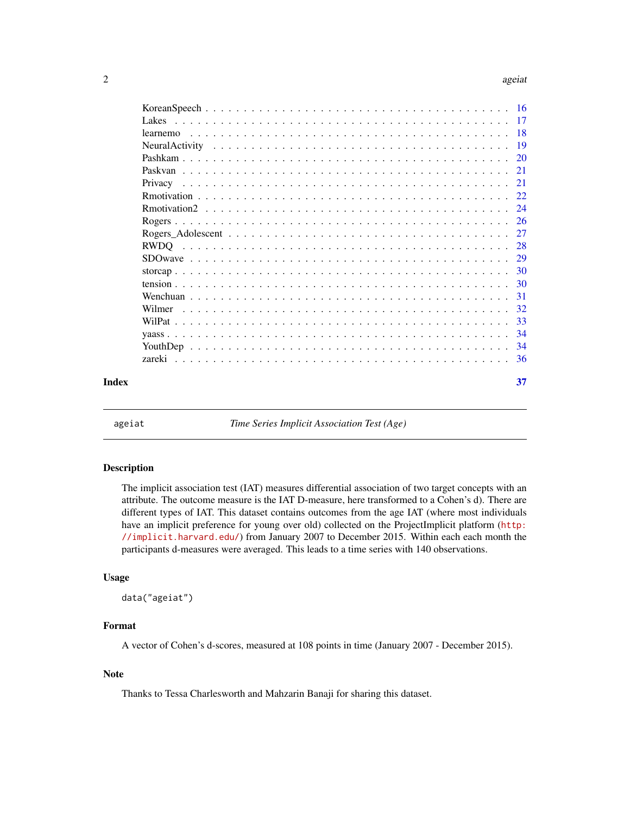<span id="page-1-0"></span>

| learnemo |  |  |  |  |  |  |  |  |  |  |  |  |     |  |
|----------|--|--|--|--|--|--|--|--|--|--|--|--|-----|--|
|          |  |  |  |  |  |  |  |  |  |  |  |  |     |  |
|          |  |  |  |  |  |  |  |  |  |  |  |  |     |  |
|          |  |  |  |  |  |  |  |  |  |  |  |  |     |  |
|          |  |  |  |  |  |  |  |  |  |  |  |  |     |  |
|          |  |  |  |  |  |  |  |  |  |  |  |  |     |  |
|          |  |  |  |  |  |  |  |  |  |  |  |  |     |  |
|          |  |  |  |  |  |  |  |  |  |  |  |  |     |  |
|          |  |  |  |  |  |  |  |  |  |  |  |  |     |  |
|          |  |  |  |  |  |  |  |  |  |  |  |  |     |  |
|          |  |  |  |  |  |  |  |  |  |  |  |  |     |  |
|          |  |  |  |  |  |  |  |  |  |  |  |  |     |  |
|          |  |  |  |  |  |  |  |  |  |  |  |  |     |  |
|          |  |  |  |  |  |  |  |  |  |  |  |  |     |  |
|          |  |  |  |  |  |  |  |  |  |  |  |  |     |  |
|          |  |  |  |  |  |  |  |  |  |  |  |  |     |  |
|          |  |  |  |  |  |  |  |  |  |  |  |  | -34 |  |
|          |  |  |  |  |  |  |  |  |  |  |  |  |     |  |
|          |  |  |  |  |  |  |  |  |  |  |  |  |     |  |
| Index    |  |  |  |  |  |  |  |  |  |  |  |  | 37  |  |

ageiat *Time Series Implicit Association Test (Age)*

# Description

The implicit association test (IAT) measures differential association of two target concepts with an attribute. The outcome measure is the IAT D-measure, here transformed to a Cohen's d). There are different types of IAT. This dataset contains outcomes from the age IAT (where most individuals have an implicit preference for young over old) collected on the ProjectImplicit platform ([http:](http://implicit.harvard.edu/) [//implicit.harvard.edu/](http://implicit.harvard.edu/)) from January 2007 to December 2015. Within each each month the participants d-measures were averaged. This leads to a time series with 140 observations.

#### Usage

data("ageiat")

# Format

A vector of Cohen's d-scores, measured at 108 points in time (January 2007 - December 2015).

# Note

Thanks to Tessa Charlesworth and Mahzarin Banaji for sharing this dataset.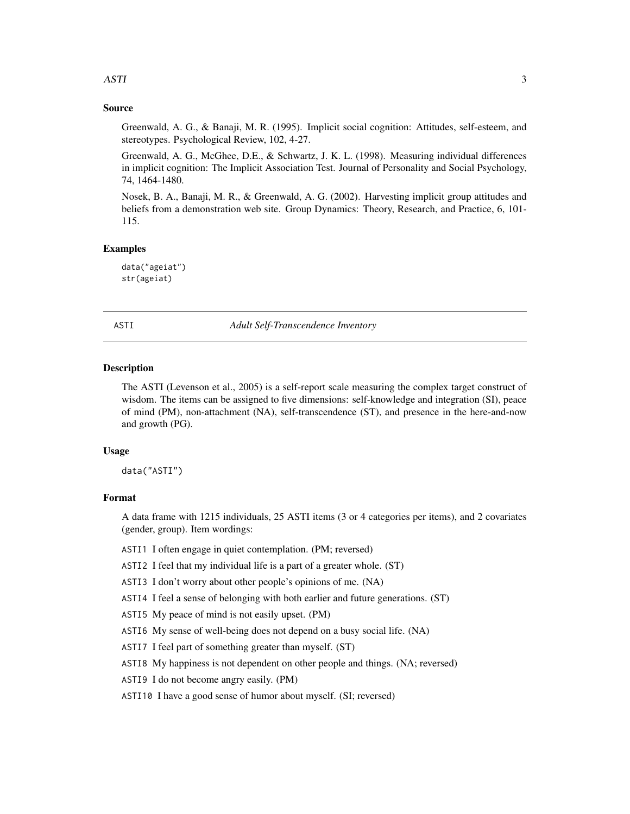# <span id="page-2-0"></span>Source

Greenwald, A. G., & Banaji, M. R. (1995). Implicit social cognition: Attitudes, self-esteem, and stereotypes. Psychological Review, 102, 4-27.

Greenwald, A. G., McGhee, D.E., & Schwartz, J. K. L. (1998). Measuring individual differences in implicit cognition: The Implicit Association Test. Journal of Personality and Social Psychology, 74, 1464-1480.

Nosek, B. A., Banaji, M. R., & Greenwald, A. G. (2002). Harvesting implicit group attitudes and beliefs from a demonstration web site. Group Dynamics: Theory, Research, and Practice, 6, 101- 115.

# Examples

data("ageiat") str(ageiat)

ASTI *Adult Self-Transcendence Inventory*

#### Description

The ASTI (Levenson et al., 2005) is a self-report scale measuring the complex target construct of wisdom. The items can be assigned to five dimensions: self-knowledge and integration (SI), peace of mind (PM), non-attachment (NA), self-transcendence (ST), and presence in the here-and-now and growth (PG).

#### Usage

data("ASTI")

# Format

A data frame with 1215 individuals, 25 ASTI items (3 or 4 categories per items), and 2 covariates (gender, group). Item wordings:

ASTI1 I often engage in quiet contemplation. (PM; reversed)

ASTI2 I feel that my individual life is a part of a greater whole. (ST)

ASTI3 I don't worry about other people's opinions of me. (NA)

ASTI4 I feel a sense of belonging with both earlier and future generations. (ST)

ASTI5 My peace of mind is not easily upset. (PM)

ASTI6 My sense of well-being does not depend on a busy social life. (NA)

ASTI7 I feel part of something greater than myself. (ST)

ASTI8 My happiness is not dependent on other people and things. (NA; reversed)

ASTI9 I do not become angry easily. (PM)

ASTI10 I have a good sense of humor about myself. (SI; reversed)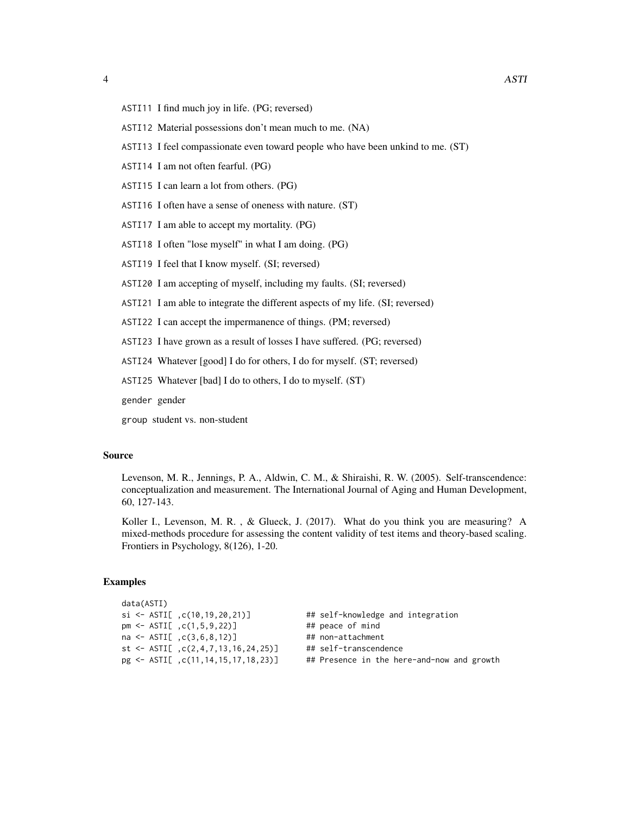- ASTI11 I find much joy in life. (PG; reversed)
- ASTI12 Material possessions don't mean much to me. (NA)
- ASTI13 I feel compassionate even toward people who have been unkind to me. (ST)
- ASTI14 I am not often fearful. (PG)
- ASTI15 I can learn a lot from others. (PG)
- ASTI16 I often have a sense of oneness with nature. (ST)
- ASTI17 I am able to accept my mortality. (PG)
- ASTI18 I often "lose myself" in what I am doing. (PG)
- ASTI19 I feel that I know myself. (SI; reversed)
- ASTI20 I am accepting of myself, including my faults. (SI; reversed)
- ASTI21 I am able to integrate the different aspects of my life. (SI; reversed)
- ASTI22 I can accept the impermanence of things. (PM; reversed)
- ASTI23 I have grown as a result of losses I have suffered. (PG; reversed)
- ASTI24 Whatever [good] I do for others, I do for myself. (ST; reversed)
- ASTI25 Whatever [bad] I do to others, I do to myself. (ST)

gender gender

group student vs. non-student

#### Source

Levenson, M. R., Jennings, P. A., Aldwin, C. M., & Shiraishi, R. W. (2005). Self-transcendence: conceptualization and measurement. The International Journal of Aging and Human Development, 60, 127-143.

Koller I., Levenson, M. R., & Glueck, J. (2017). What do you think you are measuring? A mixed-methods procedure for assessing the content validity of test items and theory-based scaling. Frontiers in Psychology, 8(126), 1-20.

## Examples

| data(ASTI)                                            |                                            |
|-------------------------------------------------------|--------------------------------------------|
| $si \leftarrow \text{ASTI}[\cdot, c(10, 19, 20, 21)]$ | ## self-knowledge and integration          |
| $pm \le -$ ASTI[ $, c(1, 5, 9, 22)$ ]                 | ## peace of mind                           |
| $na \leftarrow \text{ASTI}[\cdot,c(3,6,8,12)]$        | ## non-attachment                          |
| st <- $ASTI[$ , $c(2, 4, 7, 13, 16, 24, 25)]$         | ## self-transcendence                      |
| $pg \leftarrow \text{ASTI}[\ ,c(11,14,15,17,18,23)]$  | ## Presence in the here-and-now and growth |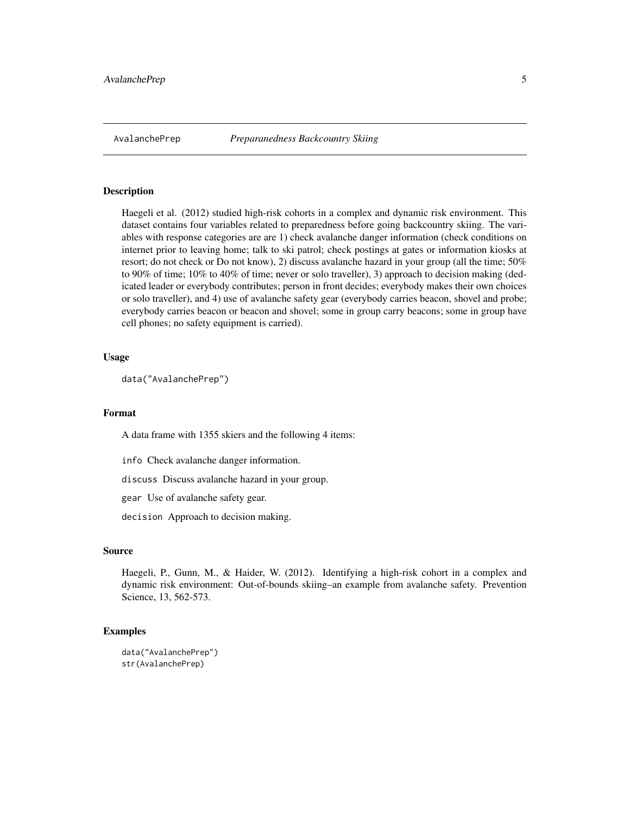<span id="page-4-0"></span>

Haegeli et al. (2012) studied high-risk cohorts in a complex and dynamic risk environment. This dataset contains four variables related to preparedness before going backcountry skiing. The variables with response categories are are 1) check avalanche danger information (check conditions on internet prior to leaving home; talk to ski patrol; check postings at gates or information kiosks at resort; do not check or Do not know), 2) discuss avalanche hazard in your group (all the time; 50% to 90% of time; 10% to 40% of time; never or solo traveller), 3) approach to decision making (dedicated leader or everybody contributes; person in front decides; everybody makes their own choices or solo traveller), and 4) use of avalanche safety gear (everybody carries beacon, shovel and probe; everybody carries beacon or beacon and shovel; some in group carry beacons; some in group have cell phones; no safety equipment is carried).

### Usage

```
data("AvalanchePrep")
```
# Format

A data frame with 1355 skiers and the following 4 items:

info Check avalanche danger information.

discuss Discuss avalanche hazard in your group.

gear Use of avalanche safety gear.

decision Approach to decision making.

#### Source

Haegeli, P., Gunn, M., & Haider, W. (2012). Identifying a high-risk cohort in a complex and dynamic risk environment: Out-of-bounds skiing–an example from avalanche safety. Prevention Science, 13, 562-573.

#### Examples

```
data("AvalanchePrep")
str(AvalanchePrep)
```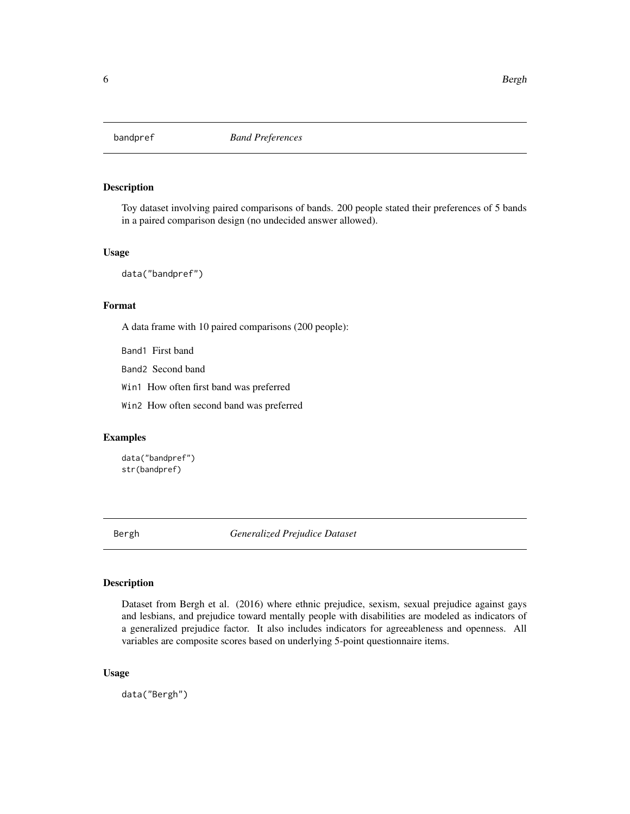<span id="page-5-0"></span>

Toy dataset involving paired comparisons of bands. 200 people stated their preferences of 5 bands in a paired comparison design (no undecided answer allowed).

#### Usage

data("bandpref")

# Format

A data frame with 10 paired comparisons (200 people):

Band1 First band

Band2 Second band

Win1 How often first band was preferred

Win2 How often second band was preferred

# Examples

data("bandpref") str(bandpref)

Bergh *Generalized Prejudice Dataset*

# Description

Dataset from Bergh et al. (2016) where ethnic prejudice, sexism, sexual prejudice against gays and lesbians, and prejudice toward mentally people with disabilities are modeled as indicators of a generalized prejudice factor. It also includes indicators for agreeableness and openness. All variables are composite scores based on underlying 5-point questionnaire items.

# Usage

data("Bergh")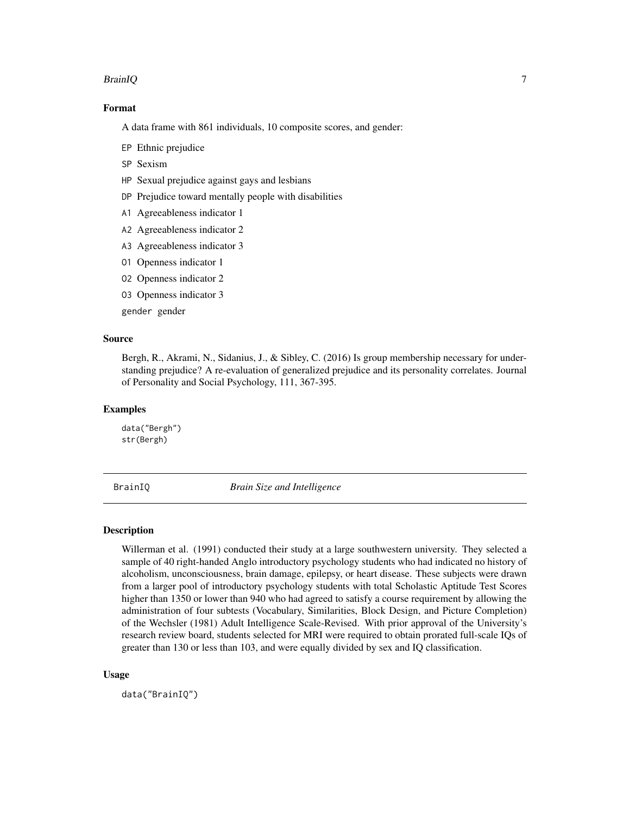#### <span id="page-6-0"></span>BrainIQ 7

# Format

A data frame with 861 individuals, 10 composite scores, and gender:

- EP Ethnic prejudice
- SP Sexism
- HP Sexual prejudice against gays and lesbians
- DP Prejudice toward mentally people with disabilities
- A1 Agreeableness indicator 1
- A2 Agreeableness indicator 2
- A3 Agreeableness indicator 3
- O1 Openness indicator 1
- O2 Openness indicator 2
- O3 Openness indicator 3

gender gender

# Source

Bergh, R., Akrami, N., Sidanius, J., & Sibley, C. (2016) Is group membership necessary for understanding prejudice? A re-evaluation of generalized prejudice and its personality correlates. Journal of Personality and Social Psychology, 111, 367-395.

# Examples

data("Bergh") str(Bergh)

```
BrainIQ Brain Size and Intelligence
```
## **Description**

Willerman et al. (1991) conducted their study at a large southwestern university. They selected a sample of 40 right-handed Anglo introductory psychology students who had indicated no history of alcoholism, unconsciousness, brain damage, epilepsy, or heart disease. These subjects were drawn from a larger pool of introductory psychology students with total Scholastic Aptitude Test Scores higher than 1350 or lower than 940 who had agreed to satisfy a course requirement by allowing the administration of four subtests (Vocabulary, Similarities, Block Design, and Picture Completion) of the Wechsler (1981) Adult Intelligence Scale-Revised. With prior approval of the University's research review board, students selected for MRI were required to obtain prorated full-scale IQs of greater than 130 or less than 103, and were equally divided by sex and IQ classification.

#### Usage

data("BrainIQ")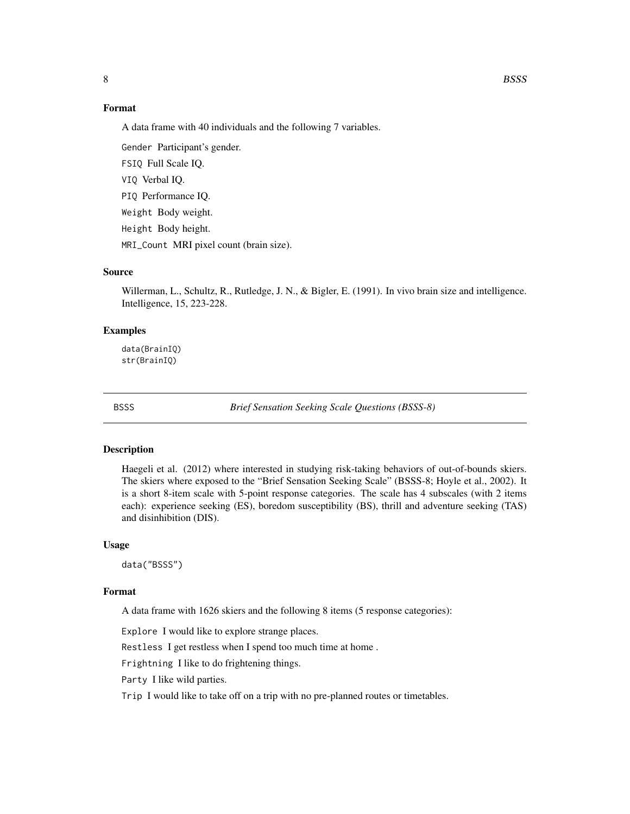# <span id="page-7-0"></span>Format

A data frame with 40 individuals and the following 7 variables.

Gender Participant's gender. FSIQ Full Scale IQ.

VIQ Verbal IQ.

PIQ Performance IQ.

Weight Body weight.

Height Body height.

MRI\_Count MRI pixel count (brain size).

# Source

Willerman, L., Schultz, R., Rutledge, J. N., & Bigler, E. (1991). In vivo brain size and intelligence. Intelligence, 15, 223-228.

#### Examples

data(BrainIQ) str(BrainIQ)

BSSS *Brief Sensation Seeking Scale Questions (BSSS-8)*

#### Description

Haegeli et al. (2012) where interested in studying risk-taking behaviors of out-of-bounds skiers. The skiers where exposed to the "Brief Sensation Seeking Scale" (BSSS-8; Hoyle et al., 2002). It is a short 8-item scale with 5-point response categories. The scale has 4 subscales (with 2 items each): experience seeking (ES), boredom susceptibility (BS), thrill and adventure seeking (TAS) and disinhibition (DIS).

#### Usage

data("BSSS")

#### Format

A data frame with 1626 skiers and the following 8 items (5 response categories):

Explore I would like to explore strange places.

Restless I get restless when I spend too much time at home .

Frightning I like to do frightening things.

Party I like wild parties.

Trip I would like to take off on a trip with no pre-planned routes or timetables.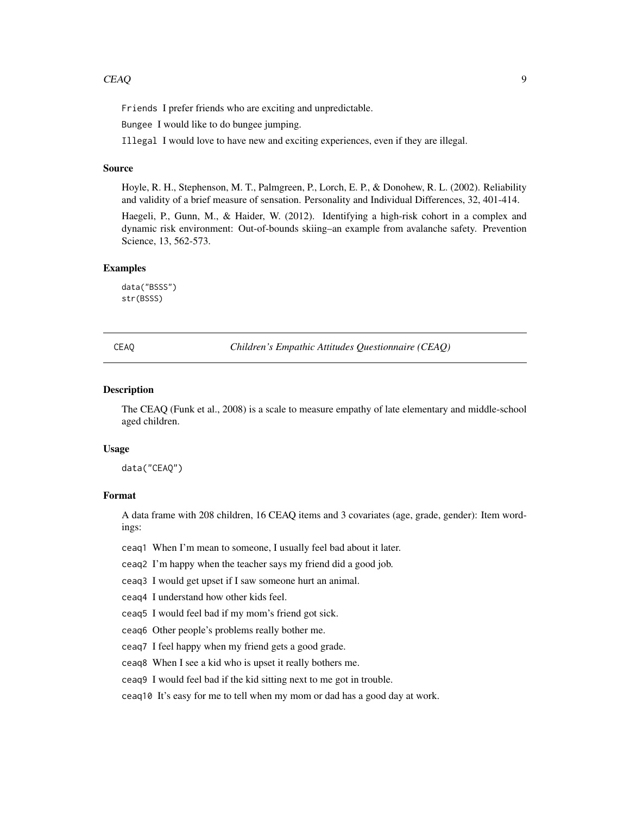<span id="page-8-0"></span>Friends I prefer friends who are exciting and unpredictable.

Bungee I would like to do bungee jumping.

Illegal I would love to have new and exciting experiences, even if they are illegal.

#### Source

Hoyle, R. H., Stephenson, M. T., Palmgreen, P., Lorch, E. P., & Donohew, R. L. (2002). Reliability and validity of a brief measure of sensation. Personality and Individual Differences, 32, 401-414.

Haegeli, P., Gunn, M., & Haider, W. (2012). Identifying a high-risk cohort in a complex and dynamic risk environment: Out-of-bounds skiing–an example from avalanche safety. Prevention Science, 13, 562-573.

# Examples

data("BSSS") str(BSSS)

CEAQ *Children's Empathic Attitudes Questionnaire (CEAQ)*

#### Description

The CEAQ (Funk et al., 2008) is a scale to measure empathy of late elementary and middle-school aged children.

#### Usage

data("CEAQ")

# Format

A data frame with 208 children, 16 CEAQ items and 3 covariates (age, grade, gender): Item wordings:

ceaq1 When I'm mean to someone, I usually feel bad about it later.

ceaq2 I'm happy when the teacher says my friend did a good job.

ceaq3 I would get upset if I saw someone hurt an animal.

ceaq4 I understand how other kids feel.

ceaq5 I would feel bad if my mom's friend got sick.

ceaq6 Other people's problems really bother me.

ceaq7 I feel happy when my friend gets a good grade.

ceaq8 When I see a kid who is upset it really bothers me.

ceaq9 I would feel bad if the kid sitting next to me got in trouble.

ceaq10 It's easy for me to tell when my mom or dad has a good day at work.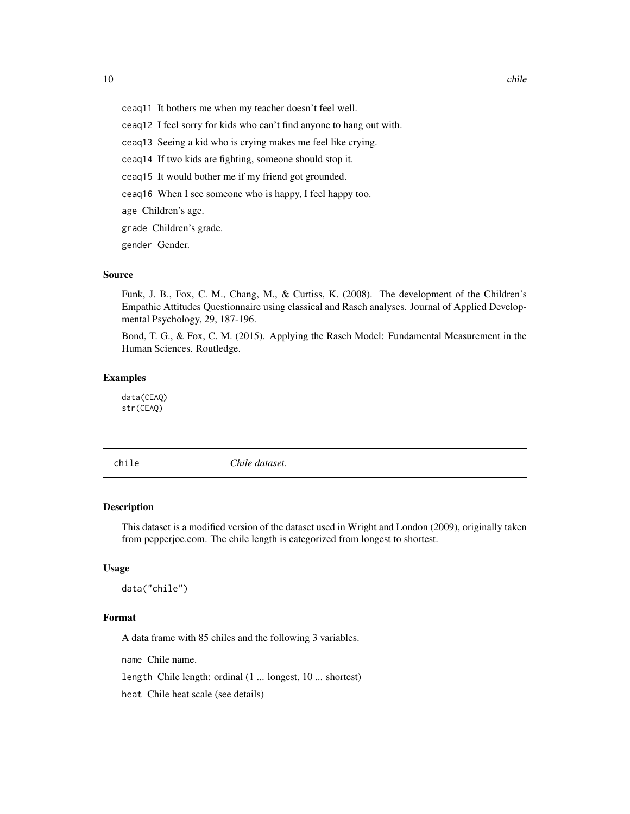- <span id="page-9-0"></span>ceaq11 It bothers me when my teacher doesn't feel well.
- ceaq12 I feel sorry for kids who can't find anyone to hang out with.
- ceaq13 Seeing a kid who is crying makes me feel like crying.
- ceaq14 If two kids are fighting, someone should stop it.
- ceaq15 It would bother me if my friend got grounded.
- ceaq16 When I see someone who is happy, I feel happy too.

age Children's age.

grade Children's grade.

gender Gender.

### Source

Funk, J. B., Fox, C. M., Chang, M., & Curtiss, K. (2008). The development of the Children's Empathic Attitudes Questionnaire using classical and Rasch analyses. Journal of Applied Developmental Psychology, 29, 187-196.

Bond, T. G., & Fox, C. M. (2015). Applying the Rasch Model: Fundamental Measurement in the Human Sciences. Routledge.

#### Examples

data(CEAQ) str(CEAQ)

chile *Chile dataset.*

#### Description

This dataset is a modified version of the dataset used in Wright and London (2009), originally taken from pepperjoe.com. The chile length is categorized from longest to shortest.

#### Usage

data("chile")

#### Format

A data frame with 85 chiles and the following 3 variables.

name Chile name.

length Chile length: ordinal (1 ... longest, 10 ... shortest)

heat Chile heat scale (see details)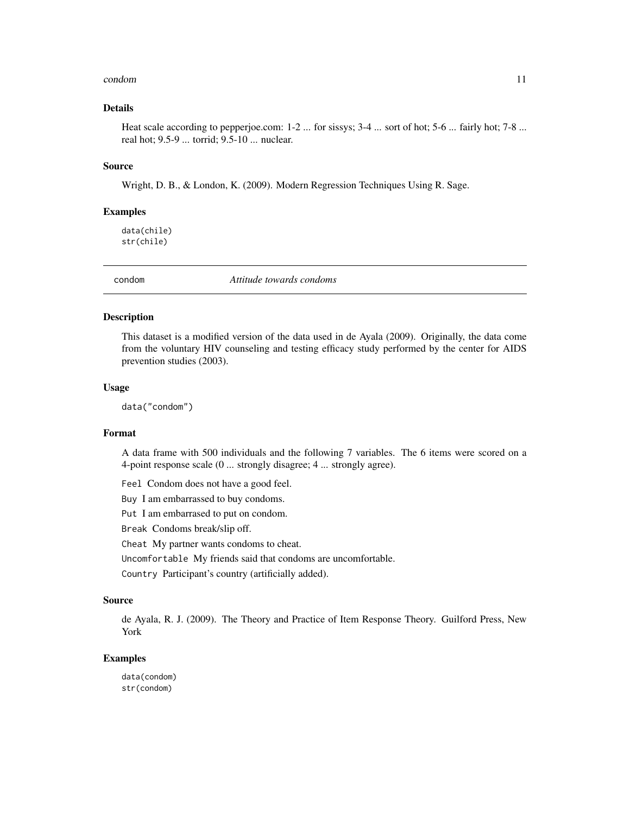#### <span id="page-10-0"></span>condom and the condom of the condom condom condom and  $\sim 11$

# Details

Heat scale according to pepperjoe.com: 1-2 ... for sissys; 3-4 ... sort of hot; 5-6 ... fairly hot; 7-8 ... real hot; 9.5-9 ... torrid; 9.5-10 ... nuclear.

#### Source

Wright, D. B., & London, K. (2009). Modern Regression Techniques Using R. Sage.

#### Examples

data(chile) str(chile)

condom *Attitude towards condoms*

#### Description

This dataset is a modified version of the data used in de Ayala (2009). Originally, the data come from the voluntary HIV counseling and testing efficacy study performed by the center for AIDS prevention studies (2003).

#### Usage

data("condom")

#### Format

A data frame with 500 individuals and the following 7 variables. The 6 items were scored on a 4-point response scale (0 ... strongly disagree; 4 ... strongly agree).

Feel Condom does not have a good feel.

Buy I am embarrassed to buy condoms.

Put I am embarrased to put on condom.

Break Condoms break/slip off.

Cheat My partner wants condoms to cheat.

Uncomfortable My friends said that condoms are uncomfortable.

Country Participant's country (artificially added).

#### Source

de Ayala, R. J. (2009). The Theory and Practice of Item Response Theory. Guilford Press, New York

#### Examples

data(condom) str(condom)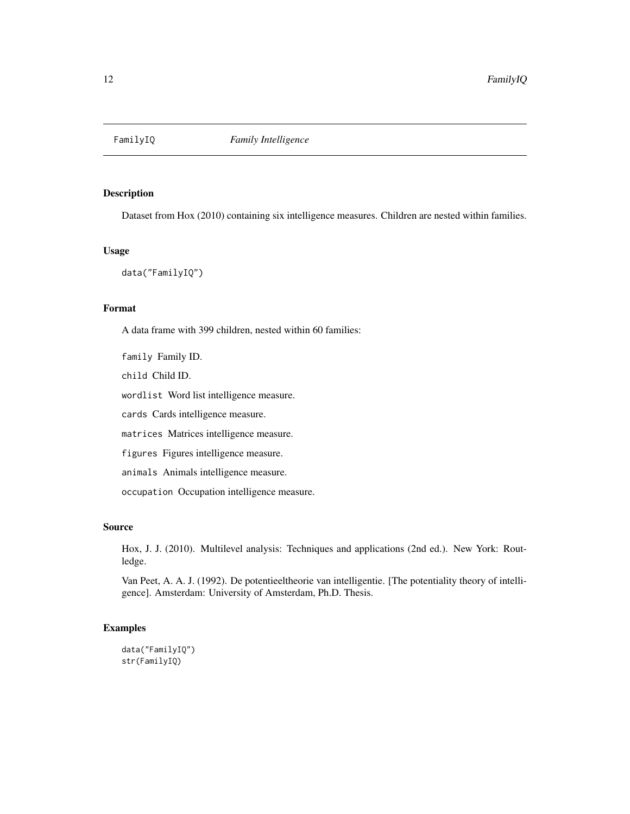<span id="page-11-0"></span>

Dataset from Hox (2010) containing six intelligence measures. Children are nested within families.

#### Usage

data("FamilyIQ")

# Format

A data frame with 399 children, nested within 60 families:

family Family ID.

child Child ID.

wordlist Word list intelligence measure.

cards Cards intelligence measure.

matrices Matrices intelligence measure.

figures Figures intelligence measure.

animals Animals intelligence measure.

occupation Occupation intelligence measure.

# Source

Hox, J. J. (2010). Multilevel analysis: Techniques and applications (2nd ed.). New York: Routledge.

Van Peet, A. A. J. (1992). De potentieeltheorie van intelligentie. [The potentiality theory of intelligence]. Amsterdam: University of Amsterdam, Ph.D. Thesis.

# Examples

```
data("FamilyIQ")
str(FamilyIQ)
```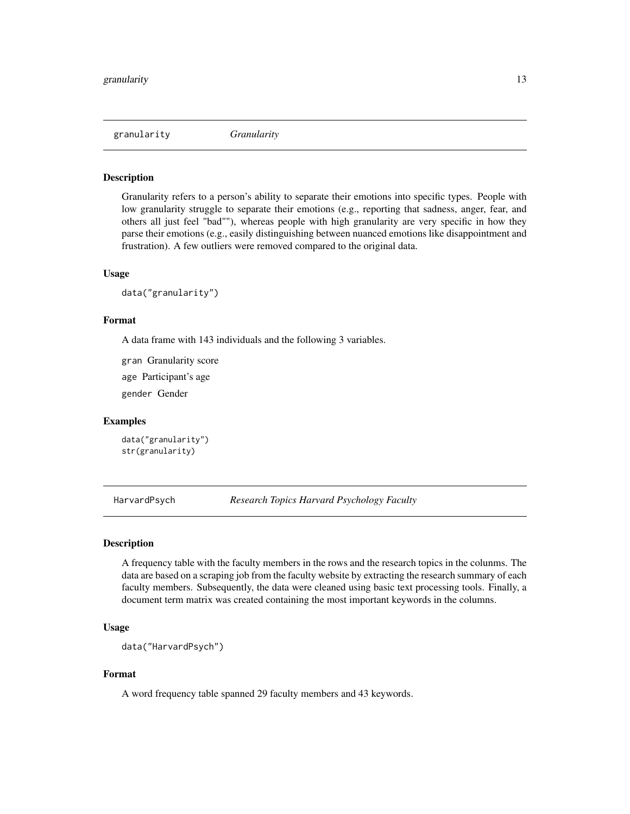<span id="page-12-0"></span>granularity *Granularity*

#### Description

Granularity refers to a person's ability to separate their emotions into specific types. People with low granularity struggle to separate their emotions (e.g., reporting that sadness, anger, fear, and others all just feel "bad""), whereas people with high granularity are very specific in how they parse their emotions (e.g., easily distinguishing between nuanced emotions like disappointment and frustration). A few outliers were removed compared to the original data.

#### Usage

data("granularity")

#### Format

A data frame with 143 individuals and the following 3 variables.

gran Granularity score

age Participant's age

gender Gender

# Examples

data("granularity") str(granularity)

HarvardPsych *Research Topics Harvard Psychology Faculty*

#### Description

A frequency table with the faculty members in the rows and the research topics in the colunms. The data are based on a scraping job from the faculty website by extracting the research summary of each faculty members. Subsequently, the data were cleaned using basic text processing tools. Finally, a document term matrix was created containing the most important keywords in the columns.

#### Usage

```
data("HarvardPsych")
```
# Format

A word frequency table spanned 29 faculty members and 43 keywords.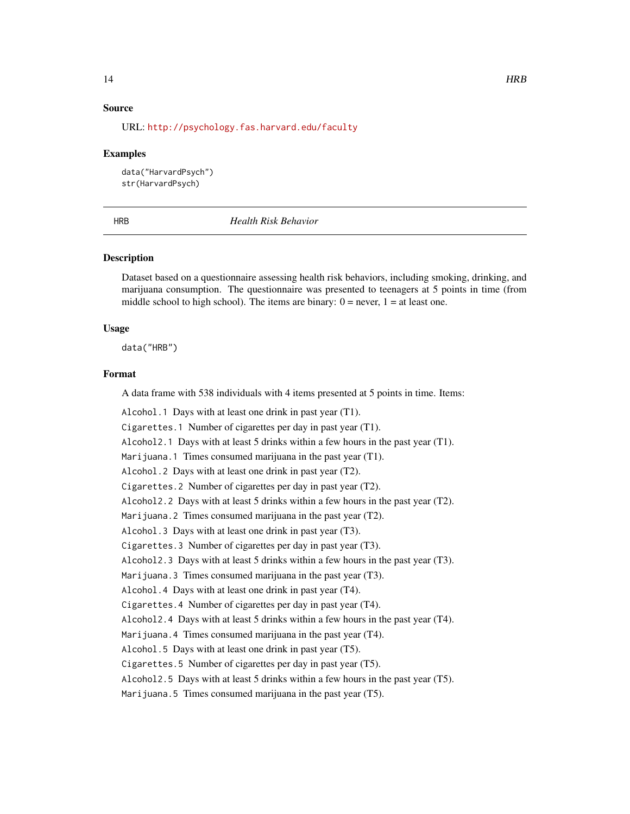# <span id="page-13-0"></span>Source

URL: <http://psychology.fas.harvard.edu/faculty>

#### Examples

data("HarvardPsych") str(HarvardPsych)

HRB *Health Risk Behavior*

# **Description**

Dataset based on a questionnaire assessing health risk behaviors, including smoking, drinking, and marijuana consumption. The questionnaire was presented to teenagers at 5 points in time (from middle school to high school). The items are binary:  $0 =$  never,  $1 =$  at least one.

#### Usage

data("HRB")

#### Format

A data frame with 538 individuals with 4 items presented at 5 points in time. Items:

Alcohol.1 Days with at least one drink in past year (T1). Cigarettes.1 Number of cigarettes per day in past year (T1). Alcohol2.1 Days with at least 5 drinks within a few hours in the past year (T1). Marijuana.1 Times consumed marijuana in the past year (T1). Alcohol.2 Days with at least one drink in past year (T2). Cigarettes.2 Number of cigarettes per day in past year (T2). Alcohol2.2 Days with at least 5 drinks within a few hours in the past year (T2). Marijuana.2 Times consumed marijuana in the past year (T2). Alcohol.3 Days with at least one drink in past year (T3). Cigarettes.3 Number of cigarettes per day in past year (T3). Alcohol2.3 Days with at least 5 drinks within a few hours in the past year (T3). Marijuana.3 Times consumed marijuana in the past year (T3). Alcohol.4 Days with at least one drink in past year (T4). Cigarettes.4 Number of cigarettes per day in past year (T4). Alcohol2.4 Days with at least 5 drinks within a few hours in the past year (T4). Marijuana. 4 Times consumed marijuana in the past year  $(T4)$ . Alcohol.5 Days with at least one drink in past year (T5). Cigarettes.5 Number of cigarettes per day in past year (T5).

Alcohol2.5 Days with at least 5 drinks within a few hours in the past year (T5).

Marijuana.5 Times consumed marijuana in the past year (T5).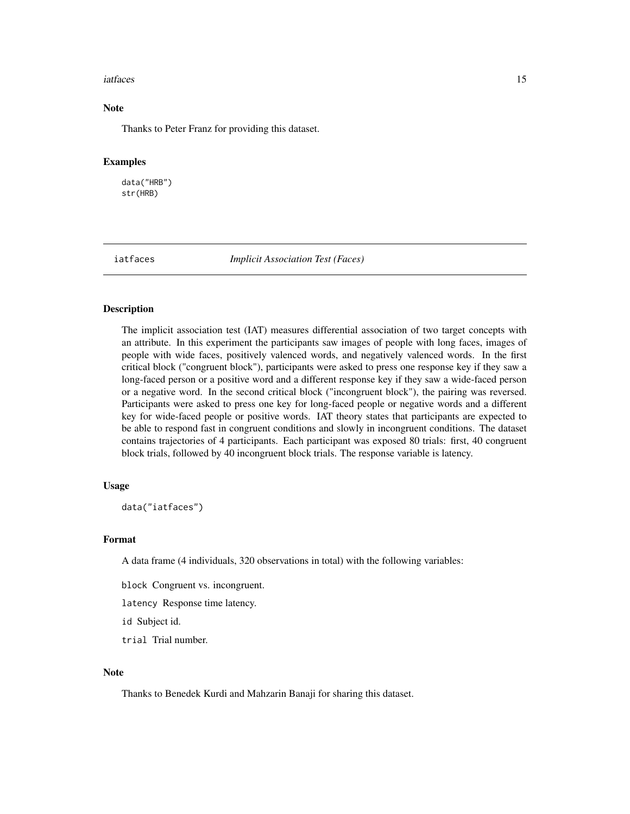#### <span id="page-14-0"></span>iatfaces and the contract of the contract of the contract of the contract of the contract of the contract of the contract of the contract of the contract of the contract of the contract of the contract of the contract of t

# Note

Thanks to Peter Franz for providing this dataset.

#### Examples

data("HRB") str(HRB)

iatfaces *Implicit Association Test (Faces)*

#### Description

The implicit association test (IAT) measures differential association of two target concepts with an attribute. In this experiment the participants saw images of people with long faces, images of people with wide faces, positively valenced words, and negatively valenced words. In the first critical block ("congruent block"), participants were asked to press one response key if they saw a long-faced person or a positive word and a different response key if they saw a wide-faced person or a negative word. In the second critical block ("incongruent block"), the pairing was reversed. Participants were asked to press one key for long-faced people or negative words and a different key for wide-faced people or positive words. IAT theory states that participants are expected to be able to respond fast in congruent conditions and slowly in incongruent conditions. The dataset contains trajectories of 4 participants. Each participant was exposed 80 trials: first, 40 congruent block trials, followed by 40 incongruent block trials. The response variable is latency.

# Usage

data("iatfaces")

#### Format

A data frame (4 individuals, 320 observations in total) with the following variables:

block Congruent vs. incongruent.

latency Response time latency.

id Subject id.

trial Trial number.

#### **Note**

Thanks to Benedek Kurdi and Mahzarin Banaji for sharing this dataset.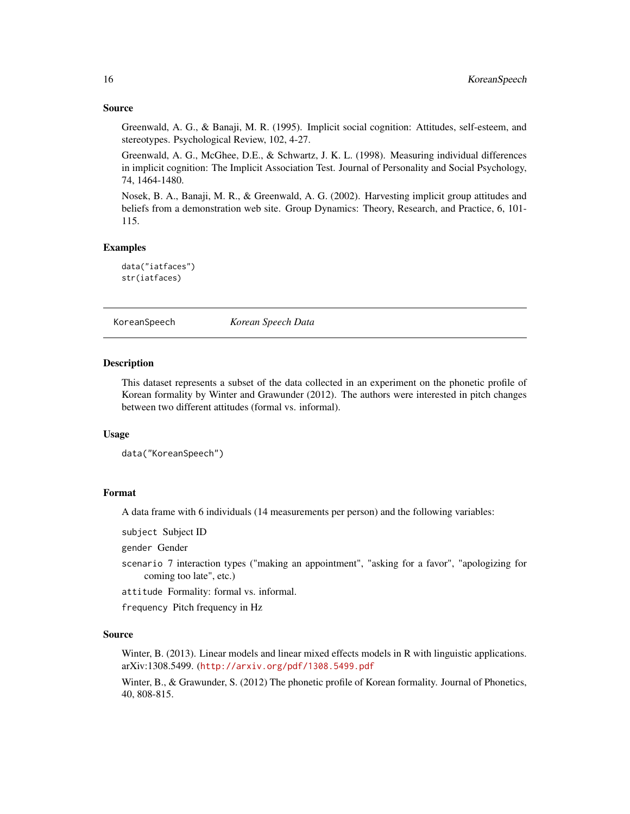# Source

Greenwald, A. G., & Banaji, M. R. (1995). Implicit social cognition: Attitudes, self-esteem, and stereotypes. Psychological Review, 102, 4-27.

Greenwald, A. G., McGhee, D.E., & Schwartz, J. K. L. (1998). Measuring individual differences in implicit cognition: The Implicit Association Test. Journal of Personality and Social Psychology, 74, 1464-1480.

Nosek, B. A., Banaji, M. R., & Greenwald, A. G. (2002). Harvesting implicit group attitudes and beliefs from a demonstration web site. Group Dynamics: Theory, Research, and Practice, 6, 101- 115.

# Examples

data("iatfaces") str(iatfaces)

KoreanSpeech *Korean Speech Data*

#### **Description**

This dataset represents a subset of the data collected in an experiment on the phonetic profile of Korean formality by Winter and Grawunder (2012). The authors were interested in pitch changes between two different attitudes (formal vs. informal).

# Usage

data("KoreanSpeech")

#### Format

A data frame with 6 individuals (14 measurements per person) and the following variables:

subject Subject ID

gender Gender

scenario 7 interaction types ("making an appointment", "asking for a favor", "apologizing for coming too late", etc.)

attitude Formality: formal vs. informal.

frequency Pitch frequency in Hz

#### Source

Winter, B. (2013). Linear models and linear mixed effects models in R with linguistic applications. arXiv:1308.5499. (<http://arxiv.org/pdf/1308.5499.pdf>

Winter, B., & Grawunder, S. (2012) The phonetic profile of Korean formality. Journal of Phonetics, 40, 808-815.

<span id="page-15-0"></span>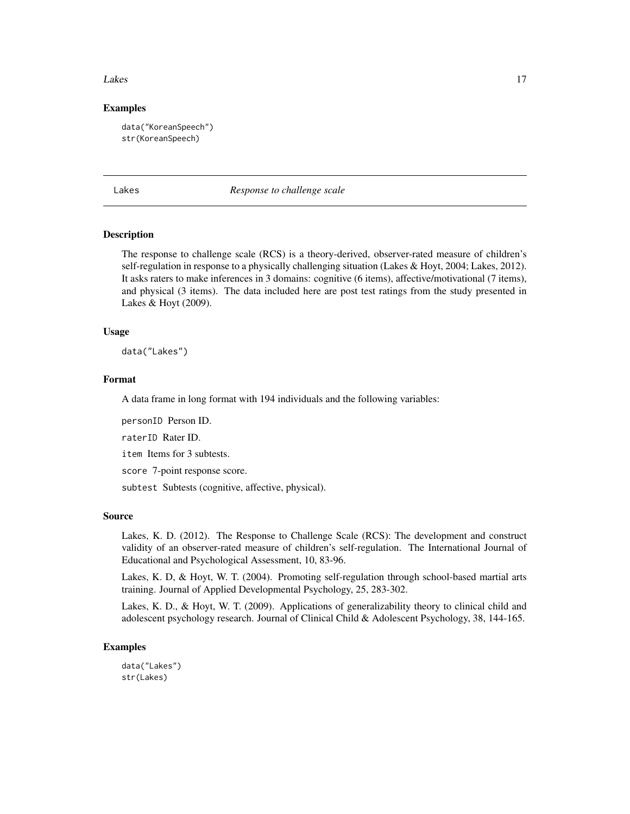#### <span id="page-16-0"></span>Lakes and the set of the set of the set of the set of the set of the set of the set of the set of the set of the set of the set of the set of the set of the set of the set of the set of the set of the set of the set of the

# Examples

data("KoreanSpeech") str(KoreanSpeech)

Lakes *Response to challenge scale*

#### Description

The response to challenge scale (RCS) is a theory-derived, observer-rated measure of children's self-regulation in response to a physically challenging situation (Lakes & Hoyt, 2004; Lakes, 2012). It asks raters to make inferences in 3 domains: cognitive (6 items), affective/motivational (7 items), and physical (3 items). The data included here are post test ratings from the study presented in Lakes & Hoyt (2009).

#### Usage

data("Lakes")

#### Format

A data frame in long format with 194 individuals and the following variables:

personID Person ID.

raterID Rater ID.

item Items for 3 subtests.

score 7-point response score.

subtest Subtests (cognitive, affective, physical).

#### Source

Lakes, K. D. (2012). The Response to Challenge Scale (RCS): The development and construct validity of an observer-rated measure of children's self-regulation. The International Journal of Educational and Psychological Assessment, 10, 83-96.

Lakes, K. D, & Hoyt, W. T. (2004). Promoting self-regulation through school-based martial arts training. Journal of Applied Developmental Psychology, 25, 283-302.

Lakes, K. D., & Hoyt, W. T. (2009). Applications of generalizability theory to clinical child and adolescent psychology research. Journal of Clinical Child & Adolescent Psychology, 38, 144-165.

# Examples

data("Lakes") str(Lakes)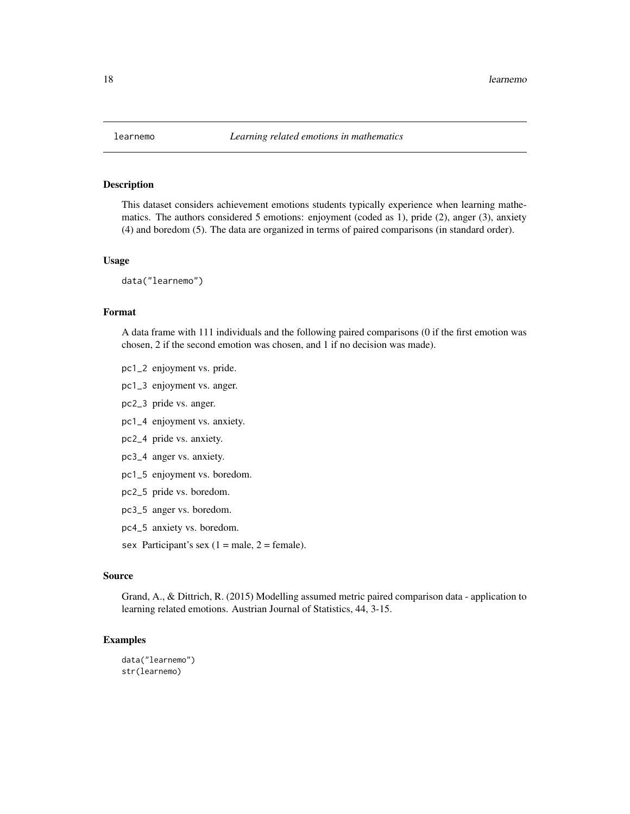<span id="page-17-0"></span>

This dataset considers achievement emotions students typically experience when learning mathematics. The authors considered 5 emotions: enjoyment (coded as 1), pride (2), anger (3), anxiety (4) and boredom (5). The data are organized in terms of paired comparisons (in standard order).

#### Usage

data("learnemo")

# Format

A data frame with 111 individuals and the following paired comparisons (0 if the first emotion was chosen, 2 if the second emotion was chosen, and 1 if no decision was made).

- pc1\_2 enjoyment vs. pride.
- pc1\_3 enjoyment vs. anger.
- pc2\_3 pride vs. anger.
- pc1\_4 enjoyment vs. anxiety.
- pc2\_4 pride vs. anxiety.
- pc3\_4 anger vs. anxiety.
- pc1\_5 enjoyment vs. boredom.
- pc2\_5 pride vs. boredom.
- pc3\_5 anger vs. boredom.
- pc4\_5 anxiety vs. boredom.
- sex Participant's sex  $(1 = male, 2 = female)$ .

# Source

Grand, A., & Dittrich, R. (2015) Modelling assumed metric paired comparison data - application to learning related emotions. Austrian Journal of Statistics, 44, 3-15.

#### Examples

```
data("learnemo")
str(learnemo)
```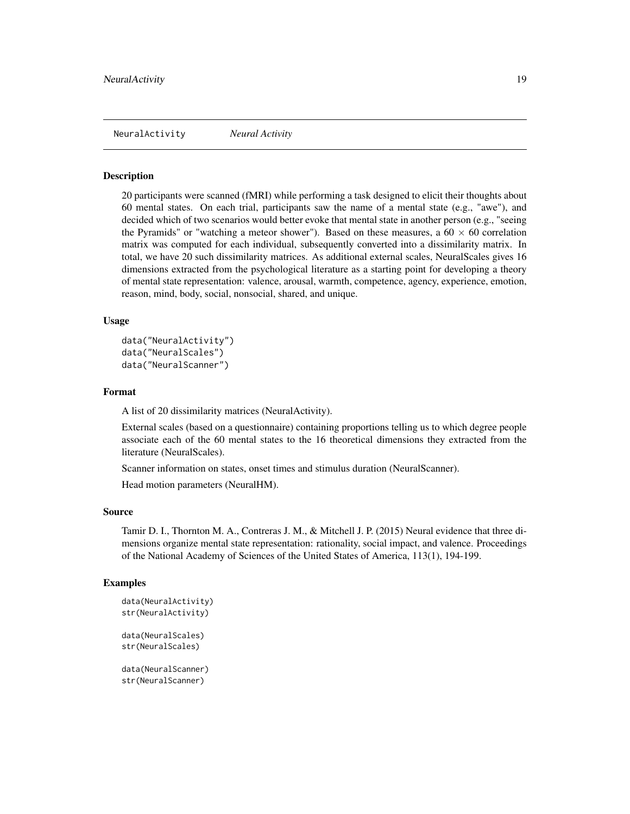<span id="page-18-0"></span>NeuralActivity *Neural Activity*

#### **Description**

20 participants were scanned (fMRI) while performing a task designed to elicit their thoughts about 60 mental states. On each trial, participants saw the name of a mental state (e.g., "awe"), and decided which of two scenarios would better evoke that mental state in another person (e.g., "seeing the Pyramids" or "watching a meteor shower"). Based on these measures, a  $60 \times 60$  correlation matrix was computed for each individual, subsequently converted into a dissimilarity matrix. In total, we have 20 such dissimilarity matrices. As additional external scales, NeuralScales gives 16 dimensions extracted from the psychological literature as a starting point for developing a theory of mental state representation: valence, arousal, warmth, competence, agency, experience, emotion, reason, mind, body, social, nonsocial, shared, and unique.

# Usage

```
data("NeuralActivity")
data("NeuralScales")
data("NeuralScanner")
```
#### Format

A list of 20 dissimilarity matrices (NeuralActivity).

External scales (based on a questionnaire) containing proportions telling us to which degree people associate each of the 60 mental states to the 16 theoretical dimensions they extracted from the literature (NeuralScales).

Scanner information on states, onset times and stimulus duration (NeuralScanner).

Head motion parameters (NeuralHM).

#### Source

Tamir D. I., Thornton M. A., Contreras J. M., & Mitchell J. P. (2015) Neural evidence that three dimensions organize mental state representation: rationality, social impact, and valence. Proceedings of the National Academy of Sciences of the United States of America, 113(1), 194-199.

#### Examples

```
data(NeuralActivity)
str(NeuralActivity)
```
data(NeuralScales) str(NeuralScales)

data(NeuralScanner) str(NeuralScanner)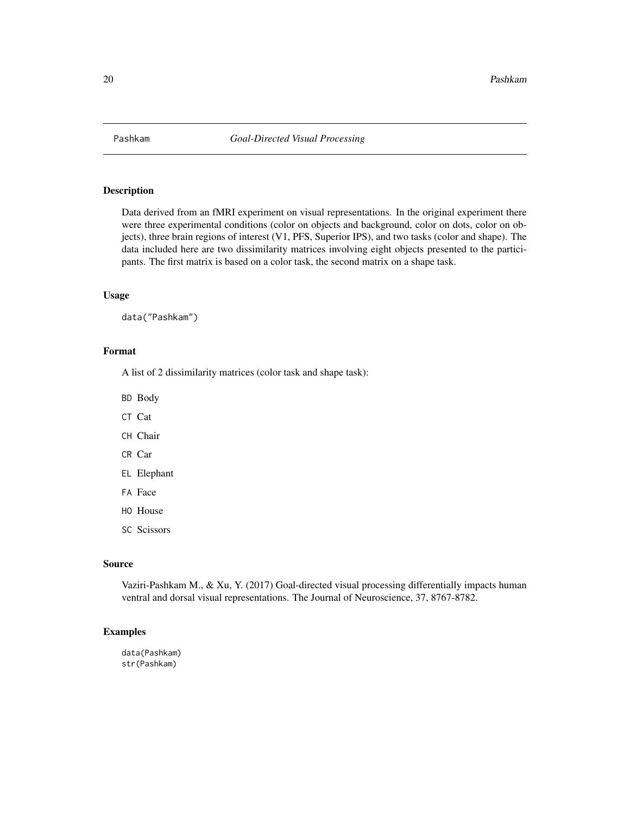<span id="page-19-0"></span>

Data derived from an fMRI experiment on visual representations. In the original experiment there were three experimental conditions (color on objects and background, color on dots, color on objects), three brain regions of interest (V1, PFS, Superior IPS), and two tasks (color and shape). The data included here are two dissimilarity matrices involving eight objects presented to the participants. The first matrix is based on a color task, the second matrix on a shape task.

#### Usage

data("Pashkam")

# Format

A list of 2 dissimilarity matrices (color task and shape task):

BD Body

CT Cat

CH Chair

CR Car

EL Elephant

FA Face

- HO House
- SC Scissors

#### Source

Vaziri-Pashkam M., & Xu, Y. (2017) Goal-directed visual processing differentially impacts human ventral and dorsal visual representations. The Journal of Neuroscience, 37, 8767-8782.

#### Examples

data(Pashkam) str(Pashkam)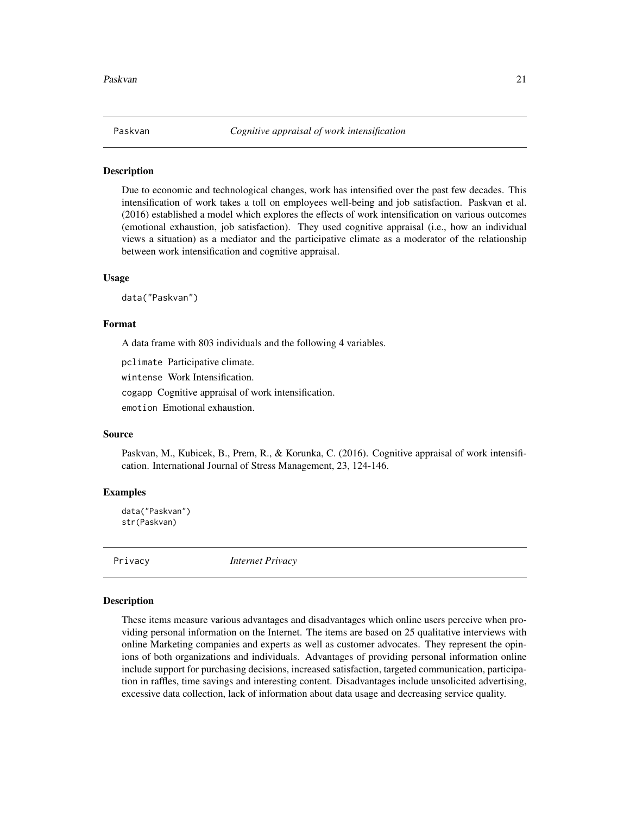<span id="page-20-0"></span>

Due to economic and technological changes, work has intensified over the past few decades. This intensification of work takes a toll on employees well-being and job satisfaction. Paskvan et al. (2016) established a model which explores the effects of work intensification on various outcomes (emotional exhaustion, job satisfaction). They used cognitive appraisal (i.e., how an individual views a situation) as a mediator and the participative climate as a moderator of the relationship between work intensification and cognitive appraisal.

#### Usage

data("Paskvan")

#### Format

A data frame with 803 individuals and the following 4 variables.

pclimate Participative climate.

wintense Work Intensification.

cogapp Cognitive appraisal of work intensification.

emotion Emotional exhaustion.

# Source

Paskvan, M., Kubicek, B., Prem, R., & Korunka, C. (2016). Cognitive appraisal of work intensification. International Journal of Stress Management, 23, 124-146.

# Examples

```
data("Paskvan")
str(Paskvan)
```
Privacy *Internet Privacy*

#### Description

These items measure various advantages and disadvantages which online users perceive when providing personal information on the Internet. The items are based on 25 qualitative interviews with online Marketing companies and experts as well as customer advocates. They represent the opinions of both organizations and individuals. Advantages of providing personal information online include support for purchasing decisions, increased satisfaction, targeted communication, participation in raffles, time savings and interesting content. Disadvantages include unsolicited advertising, excessive data collection, lack of information about data usage and decreasing service quality.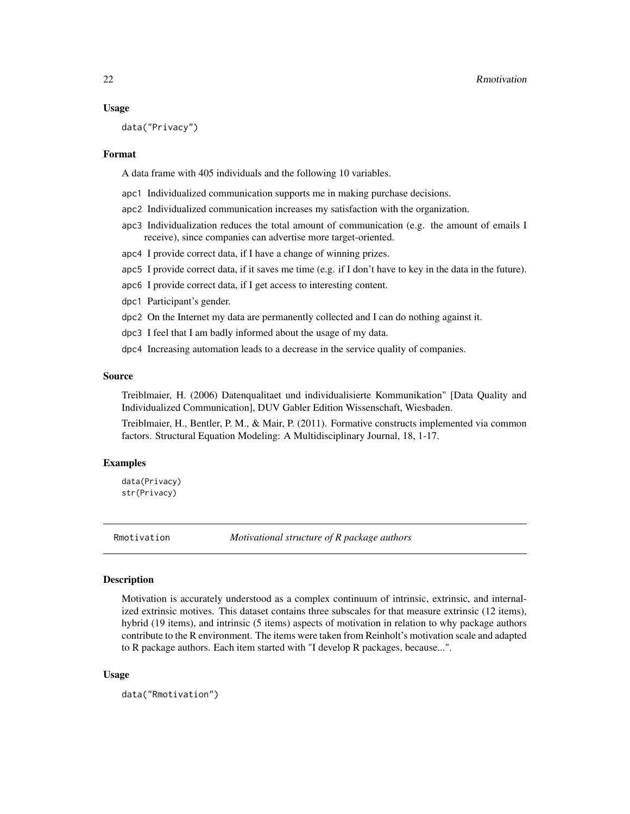#### Usage

data("Privacy")

#### Format

A data frame with 405 individuals and the following 10 variables.

- apc1 Individualized communication supports me in making purchase decisions.
- apc2 Individualized communication increases my satisfaction with the organization.
- apc3 Individualization reduces the total amount of communication (e.g. the amount of emails I receive), since companies can advertise more target-oriented.
- apc4 I provide correct data, if I have a change of winning prizes.
- apc5 I provide correct data, if it saves me time (e.g. if I don't have to key in the data in the future).
- apc6 I provide correct data, if I get access to interesting content.
- dpc1 Participant's gender.
- dpc2 On the Internet my data are permanently collected and I can do nothing against it.
- dpc3 I feel that I am badly informed about the usage of my data.
- dpc4 Increasing automation leads to a decrease in the service quality of companies.

#### Source

Treiblmaier, H. (2006) Datenqualitaet und individualisierte Kommunikation" [Data Quality and Individualized Communication], DUV Gabler Edition Wissenschaft, Wiesbaden.

Treiblmaier, H., Bentler, P. M., & Mair, P. (2011). Formative constructs implemented via common factors. Structural Equation Modeling: A Multidisciplinary Journal, 18, 1-17.

# Examples

data(Privacy) str(Privacy)

<span id="page-21-1"></span>Rmotivation *Motivational structure of R package authors*

#### **Description**

Motivation is accurately understood as a complex continuum of intrinsic, extrinsic, and internalized extrinsic motives. This dataset contains three subscales for that measure extrinsic (12 items), hybrid (19 items), and intrinsic (5 items) aspects of motivation in relation to why package authors contribute to the R environment. The items were taken from Reinholt's motivation scale and adapted to R package authors. Each item started with "I develop R packages, because...".

#### Usage

data("Rmotivation")

<span id="page-21-0"></span>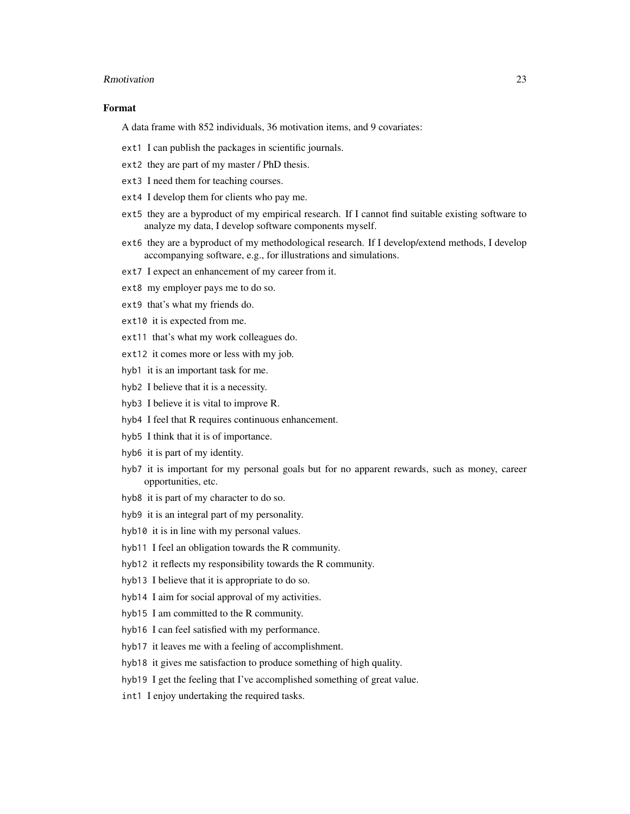#### Rmotivation 23

# Format

A data frame with 852 individuals, 36 motivation items, and 9 covariates:

- ext1 I can publish the packages in scientific journals.
- ext2 they are part of my master / PhD thesis.
- ext3 I need them for teaching courses.
- ext4 I develop them for clients who pay me.
- ext5 they are a byproduct of my empirical research. If I cannot find suitable existing software to analyze my data, I develop software components myself.
- ext6 they are a byproduct of my methodological research. If I develop/extend methods, I develop accompanying software, e.g., for illustrations and simulations.
- ext7 I expect an enhancement of my career from it.
- ext8 my employer pays me to do so.
- ext9 that's what my friends do.
- ext10 it is expected from me.
- ext11 that's what my work colleagues do.
- ext12 it comes more or less with my job.
- hyb1 it is an important task for me.
- hyb2 I believe that it is a necessity.
- hyb3 I believe it is vital to improve R.
- hyb4 I feel that R requires continuous enhancement.
- hyb5 I think that it is of importance.
- hyb6 it is part of my identity.
- hyb7 it is important for my personal goals but for no apparent rewards, such as money, career opportunities, etc.
- hyb8 it is part of my character to do so.
- hyb9 it is an integral part of my personality.
- hyb10 it is in line with my personal values.
- hyb11 I feel an obligation towards the R community.
- hyb12 it reflects my responsibility towards the R community.
- hyb13 I believe that it is appropriate to do so.
- hyb14 I aim for social approval of my activities.
- hyb15 I am committed to the R community.
- hyb16 I can feel satisfied with my performance.
- hyb17 it leaves me with a feeling of accomplishment.
- hyb18 it gives me satisfaction to produce something of high quality.
- hyb19 I get the feeling that I've accomplished something of great value.
- int1 I enjoy undertaking the required tasks.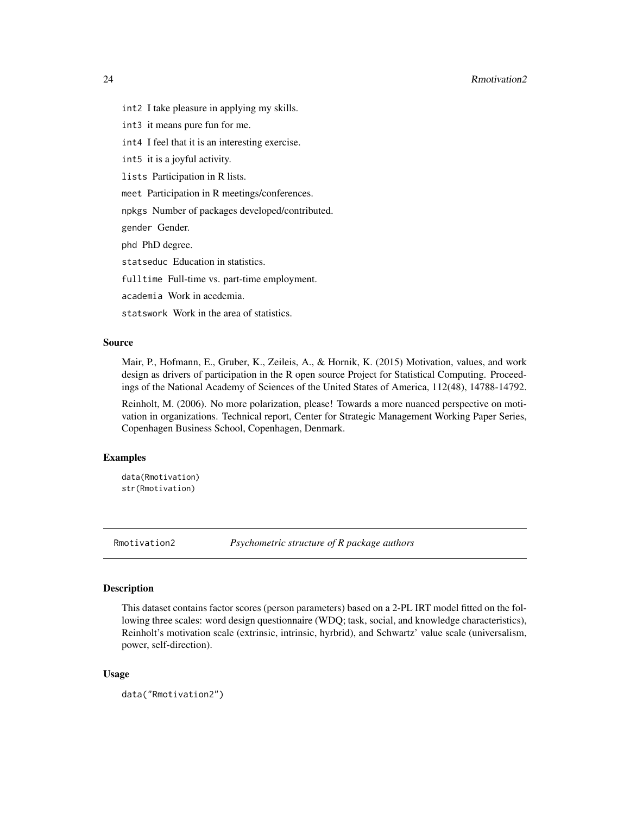- <span id="page-23-0"></span>int2 I take pleasure in applying my skills.
- int3 it means pure fun for me.
- int4 I feel that it is an interesting exercise.
- int5 it is a joyful activity.
- lists Participation in R lists.
- meet Participation in R meetings/conferences.
- npkgs Number of packages developed/contributed.
- gender Gender.
- phd PhD degree.
- statseduc Education in statistics.
- fulltime Full-time vs. part-time employment.
- academia Work in acedemia.
- statswork Work in the area of statistics.

#### Source

Mair, P., Hofmann, E., Gruber, K., Zeileis, A., & Hornik, K. (2015) Motivation, values, and work design as drivers of participation in the R open source Project for Statistical Computing. Proceedings of the National Academy of Sciences of the United States of America, 112(48), 14788-14792.

Reinholt, M. (2006). No more polarization, please! Towards a more nuanced perspective on motivation in organizations. Technical report, Center for Strategic Management Working Paper Series, Copenhagen Business School, Copenhagen, Denmark.

# Examples

```
data(Rmotivation)
str(Rmotivation)
```
Rmotivation2 *Psychometric structure of R package authors*

#### Description

This dataset contains factor scores (person parameters) based on a 2-PL IRT model fitted on the following three scales: word design questionnaire (WDQ; task, social, and knowledge characteristics), Reinholt's motivation scale (extrinsic, intrinsic, hyrbrid), and Schwartz' value scale (universalism, power, self-direction).

#### Usage

```
data("Rmotivation2")
```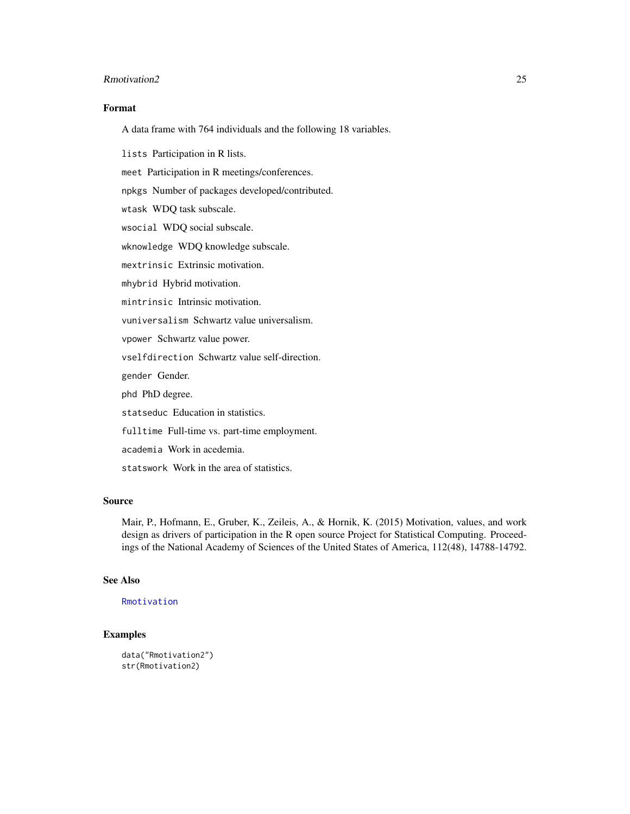# <span id="page-24-0"></span>Rmotivation2 25

# Format

A data frame with 764 individuals and the following 18 variables.

lists Participation in R lists.

meet Participation in R meetings/conferences.

npkgs Number of packages developed/contributed.

wtask WDQ task subscale.

wsocial WDQ social subscale.

wknowledge WDQ knowledge subscale.

mextrinsic Extrinsic motivation.

mhybrid Hybrid motivation.

mintrinsic Intrinsic motivation.

vuniversalism Schwartz value universalism.

vpower Schwartz value power.

vselfdirection Schwartz value self-direction.

gender Gender.

phd PhD degree.

statseduc Education in statistics.

fulltime Full-time vs. part-time employment.

academia Work in acedemia.

statswork Work in the area of statistics.

# Source

Mair, P., Hofmann, E., Gruber, K., Zeileis, A., & Hornik, K. (2015) Motivation, values, and work design as drivers of participation in the R open source Project for Statistical Computing. Proceedings of the National Academy of Sciences of the United States of America, 112(48), 14788-14792.

#### See Also

[Rmotivation](#page-21-1)

# **Examples**

```
data("Rmotivation2")
str(Rmotivation2)
```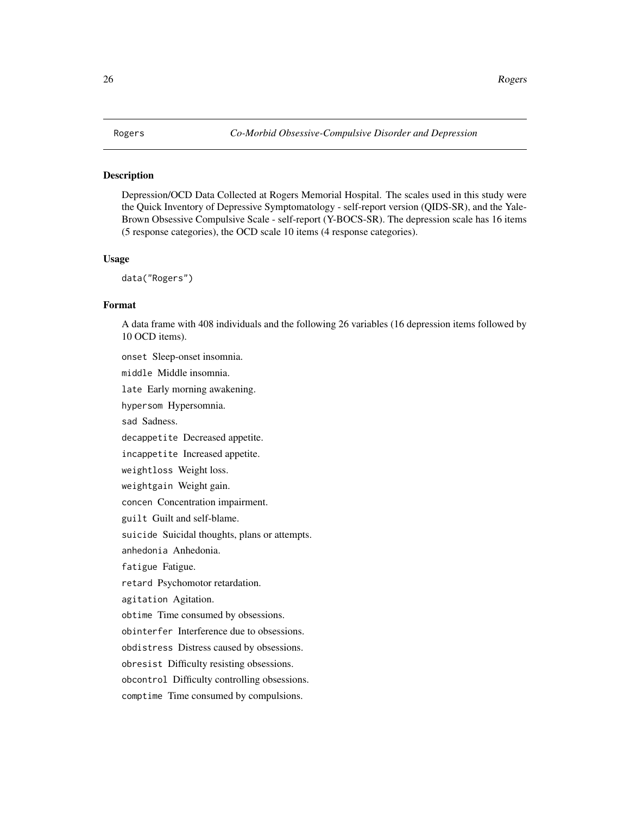<span id="page-25-0"></span>Depression/OCD Data Collected at Rogers Memorial Hospital. The scales used in this study were the Quick Inventory of Depressive Symptomatology - self-report version (QIDS-SR), and the Yale-Brown Obsessive Compulsive Scale - self-report (Y-BOCS-SR). The depression scale has 16 items (5 response categories), the OCD scale 10 items (4 response categories).

# Usage

data("Rogers")

# Format

A data frame with 408 individuals and the following 26 variables (16 depression items followed by 10 OCD items).

onset Sleep-onset insomnia.

middle Middle insomnia.

late Early morning awakening.

hypersom Hypersomnia.

sad Sadness.

decappetite Decreased appetite.

incappetite Increased appetite.

weightloss Weight loss.

weightgain Weight gain.

concen Concentration impairment.

guilt Guilt and self-blame.

suicide Suicidal thoughts, plans or attempts.

anhedonia Anhedonia.

fatigue Fatigue.

retard Psychomotor retardation.

agitation Agitation.

obtime Time consumed by obsessions.

obinterfer Interference due to obsessions.

obdistress Distress caused by obsessions.

obresist Difficulty resisting obsessions.

obcontrol Difficulty controlling obsessions.

comptime Time consumed by compulsions.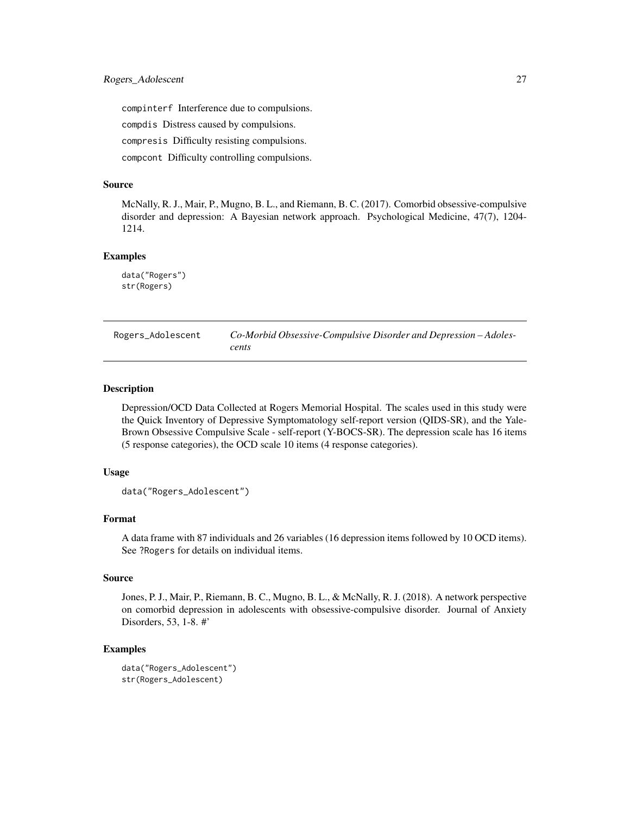<span id="page-26-0"></span>compinterf Interference due to compulsions.

compdis Distress caused by compulsions.

compresis Difficulty resisting compulsions.

compcont Difficulty controlling compulsions.

# Source

McNally, R. J., Mair, P., Mugno, B. L., and Riemann, B. C. (2017). Comorbid obsessive-compulsive disorder and depression: A Bayesian network approach. Psychological Medicine, 47(7), 1204- 1214.

#### Examples

data("Rogers") str(Rogers)

Rogers\_Adolescent *Co-Morbid Obsessive-Compulsive Disorder and Depression – Adolescents*

#### Description

Depression/OCD Data Collected at Rogers Memorial Hospital. The scales used in this study were the Quick Inventory of Depressive Symptomatology self-report version (QIDS-SR), and the Yale-Brown Obsessive Compulsive Scale - self-report (Y-BOCS-SR). The depression scale has 16 items (5 response categories), the OCD scale 10 items (4 response categories).

#### Usage

```
data("Rogers_Adolescent")
```
# Format

A data frame with 87 individuals and 26 variables (16 depression items followed by 10 OCD items). See ?Rogers for details on individual items.

#### Source

Jones, P. J., Mair, P., Riemann, B. C., Mugno, B. L., & McNally, R. J. (2018). A network perspective on comorbid depression in adolescents with obsessive-compulsive disorder. Journal of Anxiety Disorders, 53, 1-8. #'

# Examples

```
data("Rogers_Adolescent")
str(Rogers_Adolescent)
```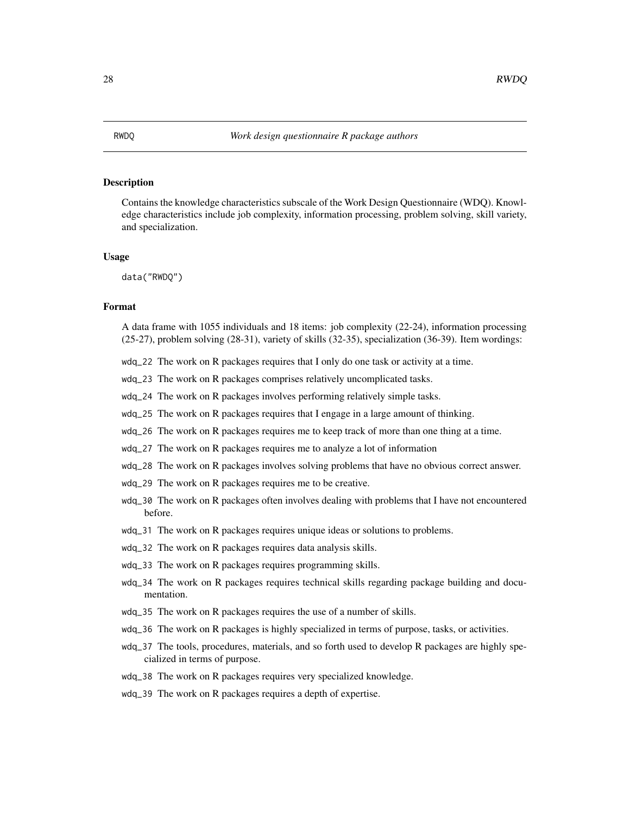<span id="page-27-0"></span>Contains the knowledge characteristics subscale of the Work Design Questionnaire (WDQ). Knowledge characteristics include job complexity, information processing, problem solving, skill variety, and specialization.

#### Usage

data("RWDQ")

# Format

A data frame with 1055 individuals and 18 items: job complexity (22-24), information processing (25-27), problem solving (28-31), variety of skills (32-35), specialization (36-39). Item wordings:

- wdq\_22 The work on R packages requires that I only do one task or activity at a time.
- wdq\_23 The work on R packages comprises relatively uncomplicated tasks.
- wdq\_24 The work on R packages involves performing relatively simple tasks.
- wdq\_25 The work on R packages requires that I engage in a large amount of thinking.
- wdq\_26 The work on R packages requires me to keep track of more than one thing at a time.
- wdq\_27 The work on R packages requires me to analyze a lot of information
- wdq\_28 The work on R packages involves solving problems that have no obvious correct answer.
- wdq\_29 The work on R packages requires me to be creative.
- wdq\_30 The work on R packages often involves dealing with problems that I have not encountered before.
- wdq\_31 The work on R packages requires unique ideas or solutions to problems.
- wdq\_32 The work on R packages requires data analysis skills.
- wdq\_33 The work on R packages requires programming skills.
- wdq\_34 The work on R packages requires technical skills regarding package building and documentation.
- wdq\_35 The work on R packages requires the use of a number of skills.
- wdq\_36 The work on R packages is highly specialized in terms of purpose, tasks, or activities.
- wdq\_37 The tools, procedures, materials, and so forth used to develop R packages are highly specialized in terms of purpose.
- wdq\_38 The work on R packages requires very specialized knowledge.
- wdq\_39 The work on R packages requires a depth of expertise.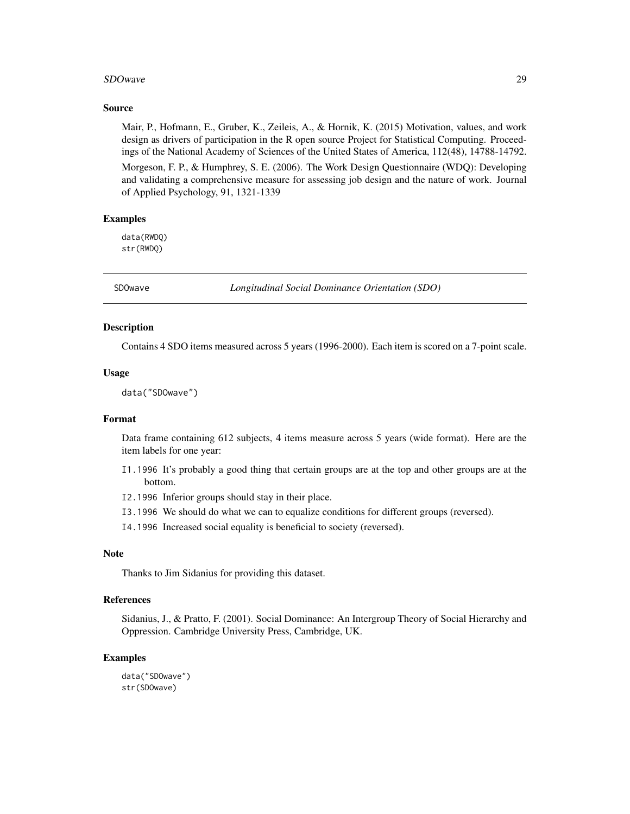#### <span id="page-28-0"></span>SDOwave 29

#### Source

Mair, P., Hofmann, E., Gruber, K., Zeileis, A., & Hornik, K. (2015) Motivation, values, and work design as drivers of participation in the R open source Project for Statistical Computing. Proceedings of the National Academy of Sciences of the United States of America, 112(48), 14788-14792.

Morgeson, F. P., & Humphrey, S. E. (2006). The Work Design Questionnaire (WDQ): Developing and validating a comprehensive measure for assessing job design and the nature of work. Journal of Applied Psychology, 91, 1321-1339

## Examples

data(RWDQ) str(RWDQ)

SDOwave *Longitudinal Social Dominance Orientation (SDO)*

# **Description**

Contains 4 SDO items measured across 5 years (1996-2000). Each item is scored on a 7-point scale.

#### Usage

data("SDOwave")

# Format

Data frame containing 612 subjects, 4 items measure across 5 years (wide format). Here are the item labels for one year:

- I1.1996 It's probably a good thing that certain groups are at the top and other groups are at the bottom.
- I2.1996 Inferior groups should stay in their place.
- I3.1996 We should do what we can to equalize conditions for different groups (reversed).
- I4.1996 Increased social equality is beneficial to society (reversed).

# Note

Thanks to Jim Sidanius for providing this dataset.

# References

Sidanius, J., & Pratto, F. (2001). Social Dominance: An Intergroup Theory of Social Hierarchy and Oppression. Cambridge University Press, Cambridge, UK.

# Examples

data("SDOwave") str(SDOwave)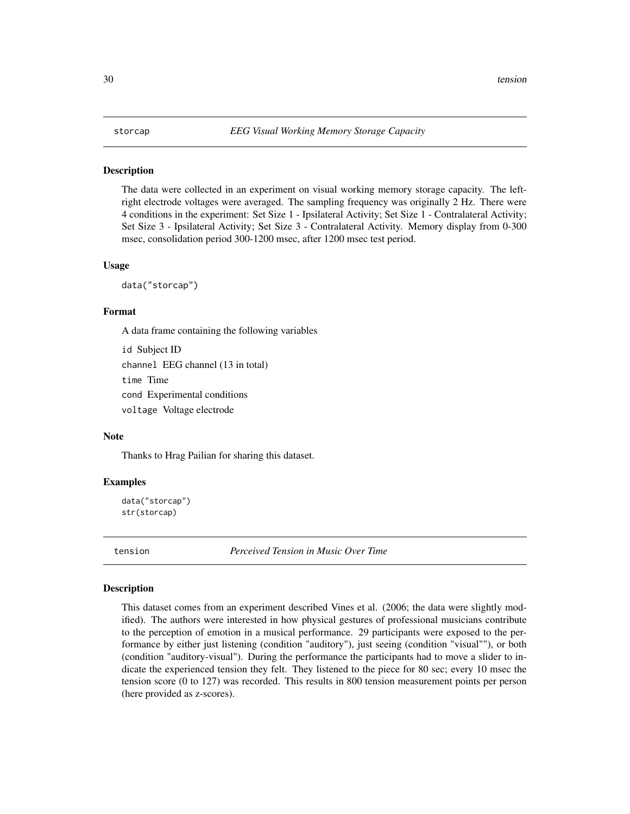<span id="page-29-0"></span>The data were collected in an experiment on visual working memory storage capacity. The leftright electrode voltages were averaged. The sampling frequency was originally 2 Hz. There were 4 conditions in the experiment: Set Size 1 - Ipsilateral Activity; Set Size 1 - Contralateral Activity; Set Size 3 - Ipsilateral Activity; Set Size 3 - Contralateral Activity. Memory display from 0-300 msec, consolidation period 300-1200 msec, after 1200 msec test period.

#### Usage

data("storcap")

# Format

A data frame containing the following variables

id Subject ID channel EEG channel (13 in total) time Time cond Experimental conditions voltage Voltage electrode

#### Note

Thanks to Hrag Pailian for sharing this dataset.

#### Examples

data("storcap") str(storcap)

tension *Perceived Tension in Music Over Time*

#### Description

This dataset comes from an experiment described Vines et al. (2006; the data were slightly modified). The authors were interested in how physical gestures of professional musicians contribute to the perception of emotion in a musical performance. 29 participants were exposed to the performance by either just listening (condition "auditory"), just seeing (condition "visual""), or both (condition "auditory-visual"). During the performance the participants had to move a slider to indicate the experienced tension they felt. They listened to the piece for 80 sec; every 10 msec the tension score (0 to 127) was recorded. This results in 800 tension measurement points per person (here provided as z-scores).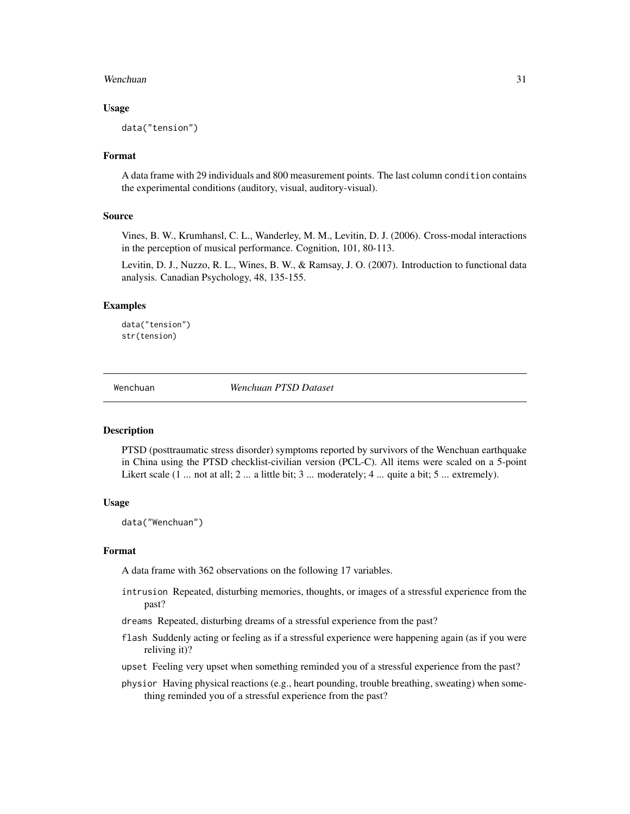#### <span id="page-30-0"></span>Wenchuan 31

#### Usage

data("tension")

# Format

A data frame with 29 individuals and 800 measurement points. The last column condition contains the experimental conditions (auditory, visual, auditory-visual).

# Source

Vines, B. W., Krumhansl, C. L., Wanderley, M. M., Levitin, D. J. (2006). Cross-modal interactions in the perception of musical performance. Cognition, 101, 80-113.

Levitin, D. J., Nuzzo, R. L., Wines, B. W., & Ramsay, J. O. (2007). Introduction to functional data analysis. Canadian Psychology, 48, 135-155.

#### Examples

```
data("tension")
str(tension)
```
Wenchuan *Wenchuan PTSD Dataset*

#### Description

PTSD (posttraumatic stress disorder) symptoms reported by survivors of the Wenchuan earthquake in China using the PTSD checklist-civilian version (PCL-C). All items were scaled on a 5-point Likert scale (1 ... not at all; 2 ... a little bit; 3 ... moderately; 4 ... quite a bit; 5 ... extremely).

# Usage

```
data("Wenchuan")
```
#### Format

A data frame with 362 observations on the following 17 variables.

- intrusion Repeated, disturbing memories, thoughts, or images of a stressful experience from the past?
- dreams Repeated, disturbing dreams of a stressful experience from the past?
- flash Suddenly acting or feeling as if a stressful experience were happening again (as if you were reliving it)?
- upset Feeling very upset when something reminded you of a stressful experience from the past?
- physior Having physical reactions (e.g., heart pounding, trouble breathing, sweating) when something reminded you of a stressful experience from the past?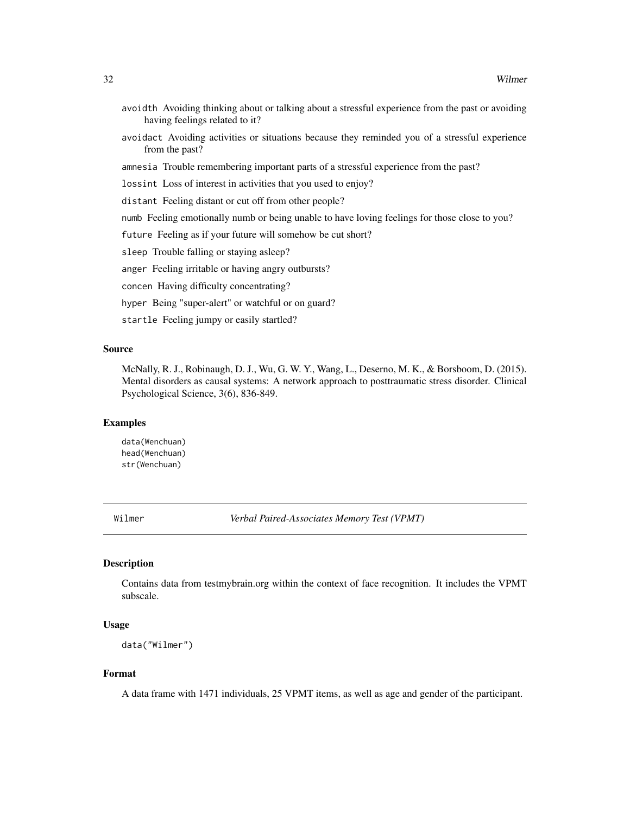- <span id="page-31-0"></span>avoidth Avoiding thinking about or talking about a stressful experience from the past or avoiding having feelings related to it?
- avoidact Avoiding activities or situations because they reminded you of a stressful experience from the past?
- amnesia Trouble remembering important parts of a stressful experience from the past?

lossint Loss of interest in activities that you used to enjoy?

distant Feeling distant or cut off from other people?

numb Feeling emotionally numb or being unable to have loving feelings for those close to you?

future Feeling as if your future will somehow be cut short?

sleep Trouble falling or staying asleep?

anger Feeling irritable or having angry outbursts?

concen Having difficulty concentrating?

hyper Being "super-alert" or watchful or on guard?

startle Feeling jumpy or easily startled?

#### Source

McNally, R. J., Robinaugh, D. J., Wu, G. W. Y., Wang, L., Deserno, M. K., & Borsboom, D. (2015). Mental disorders as causal systems: A network approach to posttraumatic stress disorder. Clinical Psychological Science, 3(6), 836-849.

# Examples

data(Wenchuan) head(Wenchuan) str(Wenchuan)

Wilmer *Verbal Paired-Associates Memory Test (VPMT)*

#### Description

Contains data from testmybrain.org within the context of face recognition. It includes the VPMT subscale.

#### Usage

```
data("Wilmer")
```
# Format

A data frame with 1471 individuals, 25 VPMT items, as well as age and gender of the participant.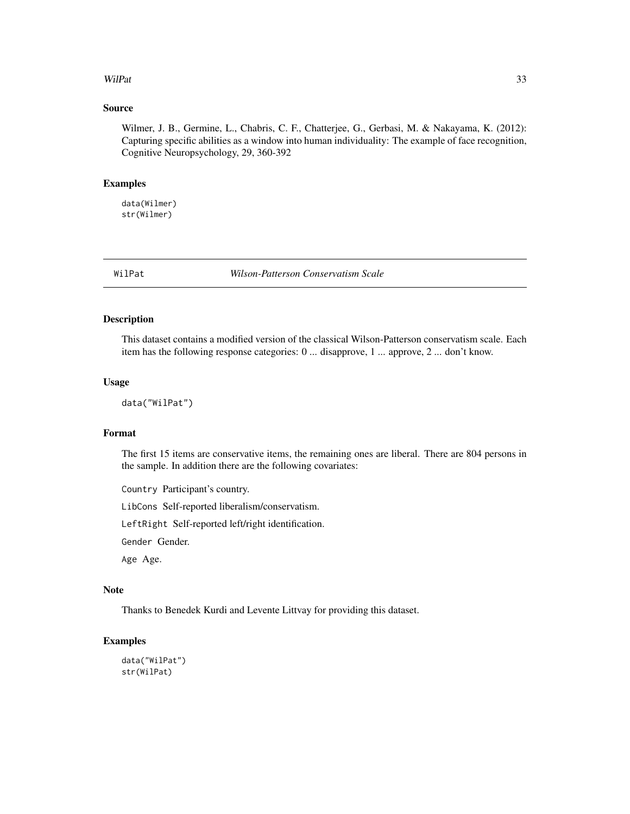# <span id="page-32-0"></span>WilPat 33

# Source

Wilmer, J. B., Germine, L., Chabris, C. F., Chatterjee, G., Gerbasi, M. & Nakayama, K. (2012): Capturing specific abilities as a window into human individuality: The example of face recognition, Cognitive Neuropsychology, 29, 360-392

# Examples

data(Wilmer) str(Wilmer)

WilPat *Wilson-Patterson Conservatism Scale*

# Description

This dataset contains a modified version of the classical Wilson-Patterson conservatism scale. Each item has the following response categories: 0 ... disapprove, 1 ... approve, 2 ... don't know.

#### Usage

data("WilPat")

# Format

The first 15 items are conservative items, the remaining ones are liberal. There are 804 persons in the sample. In addition there are the following covariates:

Country Participant's country.

LibCons Self-reported liberalism/conservatism.

LeftRight Self-reported left/right identification.

Gender Gender.

Age Age.

# Note

Thanks to Benedek Kurdi and Levente Littvay for providing this dataset.

# Examples

data("WilPat") str(WilPat)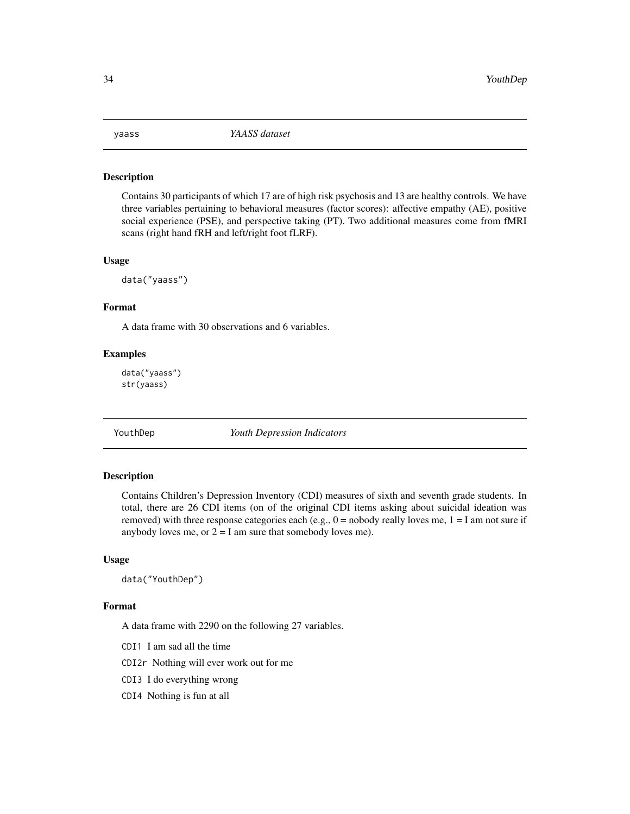<span id="page-33-0"></span>

Contains 30 participants of which 17 are of high risk psychosis and 13 are healthy controls. We have three variables pertaining to behavioral measures (factor scores): affective empathy (AE), positive social experience (PSE), and perspective taking (PT). Two additional measures come from fMRI scans (right hand fRH and left/right foot fLRF).

#### Usage

data("yaass")

# Format

A data frame with 30 observations and 6 variables.

#### Examples

data("yaass") str(yaass)

YouthDep *Youth Depression Indicators*

#### Description

Contains Children's Depression Inventory (CDI) measures of sixth and seventh grade students. In total, there are 26 CDI items (on of the original CDI items asking about suicidal ideation was removed) with three response categories each (e.g.,  $0 =$  nobody really loves me,  $1 = I$  am not sure if anybody loves me, or  $2 = I$  am sure that somebody loves me).

#### Usage

```
data("YouthDep")
```
# Format

A data frame with 2290 on the following 27 variables.

CDI1 I am sad all the time

CDI2r Nothing will ever work out for me

- CDI3 I do everything wrong
- CDI4 Nothing is fun at all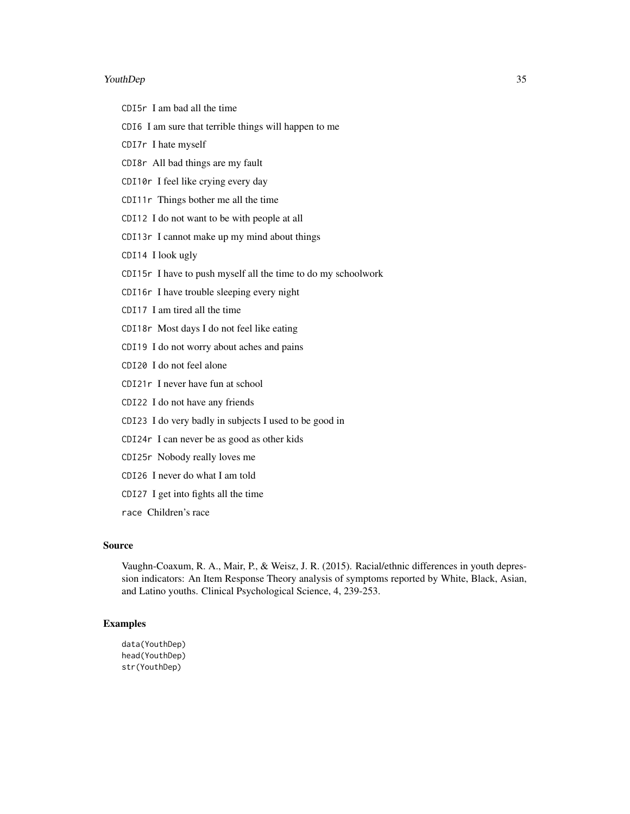#### YouthDep 35

- CDI5r I am bad all the time
- CDI6 I am sure that terrible things will happen to me
- CDI7r I hate myself
- CDI8r All bad things are my fault
- CDI10r I feel like crying every day
- CDI11r Things bother me all the time
- CDI12 I do not want to be with people at all
- CDI13r I cannot make up my mind about things
- CDI14 I look ugly
- CDI15r I have to push myself all the time to do my schoolwork
- CDI16r I have trouble sleeping every night
- CDI17 I am tired all the time
- CDI18r Most days I do not feel like eating
- CDI19 I do not worry about aches and pains
- CDI20 I do not feel alone
- CDI21r I never have fun at school
- CDI22 I do not have any friends
- CDI23 I do very badly in subjects I used to be good in
- CDI24r I can never be as good as other kids
- CDI25r Nobody really loves me
- CDI26 I never do what I am told
- CDI27 I get into fights all the time
- race Children's race

# Source

Vaughn-Coaxum, R. A., Mair, P., & Weisz, J. R. (2015). Racial/ethnic differences in youth depression indicators: An Item Response Theory analysis of symptoms reported by White, Black, Asian, and Latino youths. Clinical Psychological Science, 4, 239-253.

#### Examples

data(YouthDep) head(YouthDep) str(YouthDep)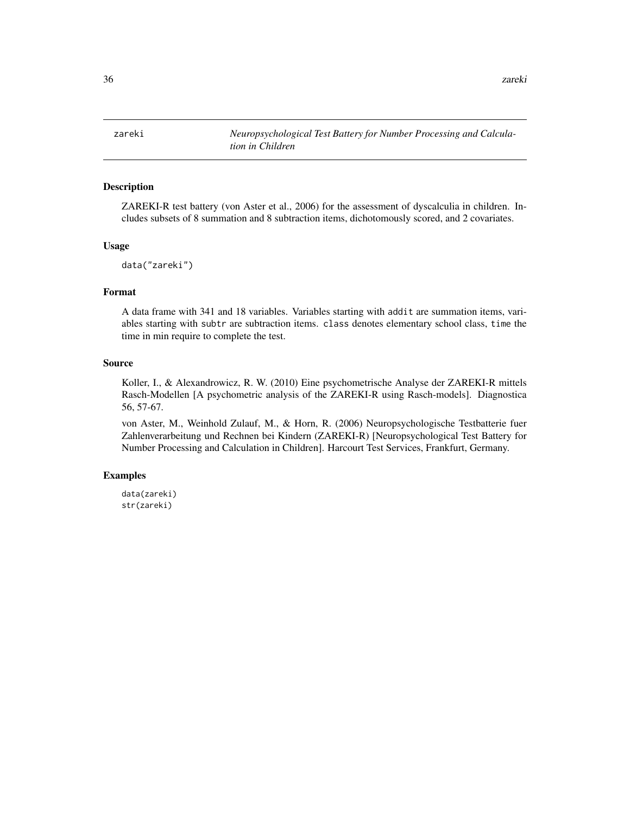<span id="page-35-0"></span>zareki *Neuropsychological Test Battery for Number Processing and Calculation in Children*

# Description

ZAREKI-R test battery (von Aster et al., 2006) for the assessment of dyscalculia in children. Includes subsets of 8 summation and 8 subtraction items, dichotomously scored, and 2 covariates.

#### Usage

```
data("zareki")
```
#### Format

A data frame with 341 and 18 variables. Variables starting with addit are summation items, variables starting with subtr are subtraction items. class denotes elementary school class, time the time in min require to complete the test.

#### Source

Koller, I., & Alexandrowicz, R. W. (2010) Eine psychometrische Analyse der ZAREKI-R mittels Rasch-Modellen [A psychometric analysis of the ZAREKI-R using Rasch-models]. Diagnostica 56, 57-67.

von Aster, M., Weinhold Zulauf, M., & Horn, R. (2006) Neuropsychologische Testbatterie fuer Zahlenverarbeitung und Rechnen bei Kindern (ZAREKI-R) [Neuropsychological Test Battery for Number Processing and Calculation in Children]. Harcourt Test Services, Frankfurt, Germany.

# Examples

```
data(zareki)
str(zareki)
```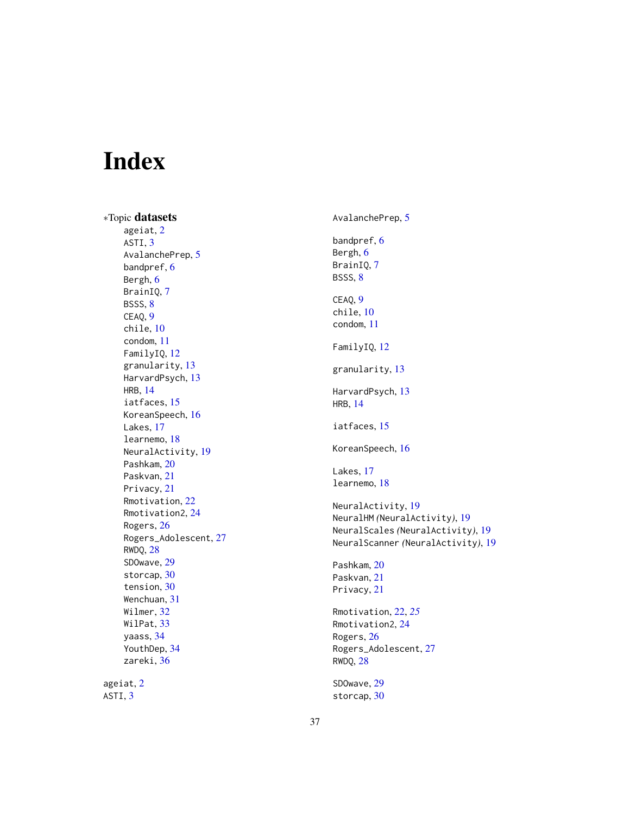# <span id="page-36-0"></span>Index

∗Topic datasets ageiat , [2](#page-1-0) ASTI, [3](#page-2-0) AvalanchePrep, [5](#page-4-0) bandpref, [6](#page-5-0) Bergh, [6](#page-5-0) BrainIQ , [7](#page-6-0) BSSS, [8](#page-7-0) CEAQ, [9](#page-8-0) chile , [10](#page-9-0) condom , [11](#page-10-0) FamilyIQ , [12](#page-11-0) granularity , [13](#page-12-0) HarvardPsych , [13](#page-12-0) HRB , [14](#page-13-0) iatfaces, [15](#page-14-0) KoreanSpeech, [16](#page-15-0) Lakes, [17](#page-16-0) learnemo , [18](#page-17-0) NeuralActivity, [19](#page-18-0) Pashkam, [20](#page-19-0) Paskvan, [21](#page-20-0) Privacy , [21](#page-20-0) Rmotivation , [22](#page-21-0) Rmotivation2, [24](#page-23-0) Rogers , [26](#page-25-0) Rogers\_Adolescent , [27](#page-26-0) RWDQ , [28](#page-27-0) SDOwave , [29](#page-28-0) storcap, [30](#page-29-0) tension , [30](#page-29-0) Wenchuan , [31](#page-30-0) Wilmer, [32](#page-31-0) WilPat , [33](#page-32-0) yaass , [34](#page-33-0) YouthDep , [34](#page-33-0) zareki , [36](#page-35-0) ageiat , [2](#page-1-0) ASTI,  $3$ 

AvalanchePrep , [5](#page-4-0) bandpref,  $6$ Bergh, <mark>[6](#page-5-0)</mark> BrainIQ, [7](#page-6-0) BSSS, <mark>[8](#page-7-0)</mark> CEAQ, [9](#page-8-0) chile , [10](#page-9-0) condom , [11](#page-10-0) FamilyIQ , [12](#page-11-0) granularity , [13](#page-12-0) HarvardPsych , [13](#page-12-0) HRB , [14](#page-13-0) iatfaces, [15](#page-14-0) KoreanSpeech, [16](#page-15-0) Lakes, [17](#page-16-0) learnemo , [18](#page-17-0) NeuralActivity, [19](#page-18-0) NeuralHM *(*NeuralActivity *)* , [19](#page-18-0) NeuralScales *(*NeuralActivity *)* , [19](#page-18-0) NeuralScanner *(*NeuralActivity *)* , [19](#page-18-0) Pashkam, [20](#page-19-0) Paskvan, [21](#page-20-0) Privacy , [21](#page-20-0) Rmotivation , [22](#page-21-0) , *[25](#page-24-0)* Rmotivation2 , [24](#page-23-0) Rogers, [26](#page-25-0) Rogers\_Adolescent , [27](#page-26-0) RWDQ , [28](#page-27-0) SDOwave, [29](#page-28-0) storcap , [30](#page-29-0)